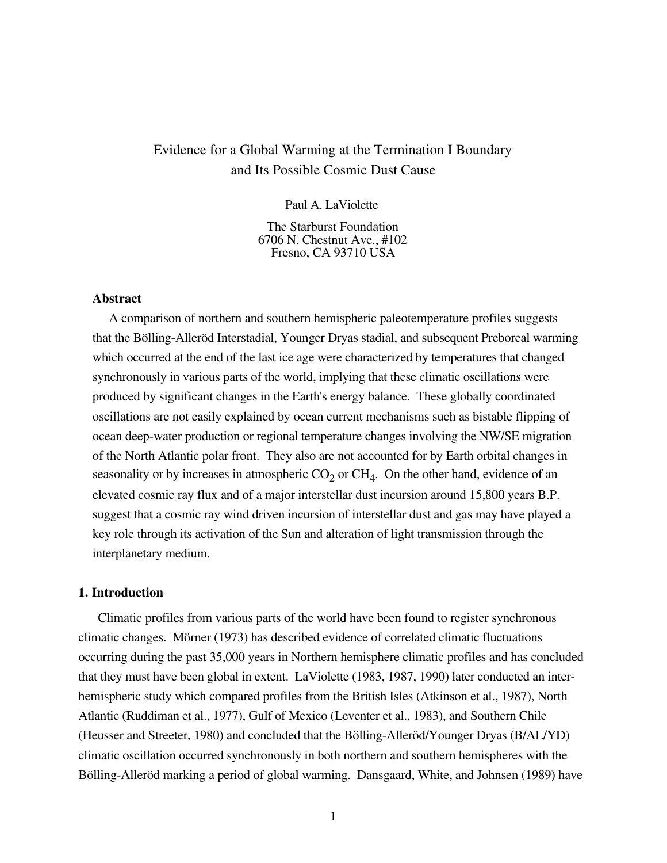# Evidence for a Global Warming at the Termination I Boundary and Its Possible Cosmic Dust Cause

Paul A. LaViolette

The Starburst Foundation 6706 N. Chestnut Ave., #102 Fresno, CA 93710 USA

# **Abstract**

A comparison of northern and southern hemispheric paleotemperature profiles suggests that the Bölling-Alleröd Interstadial, Younger Dryas stadial, and subsequent Preboreal warming which occurred at the end of the last ice age were characterized by temperatures that changed synchronously in various parts of the world, implying that these climatic oscillations were produced by significant changes in the Earth's energy balance. These globally coordinated oscillations are not easily explained by ocean current mechanisms such as bistable flipping of ocean deep-water production or regional temperature changes involving the NW/SE migration of the North Atlantic polar front. They also are not accounted for by Earth orbital changes in seasonality or by increases in atmospheric  $CO<sub>2</sub>$  or  $CH<sub>4</sub>$ . On the other hand, evidence of an elevated cosmic ray flux and of a major interstellar dust incursion around 15,800 years B.P. suggest that a cosmic ray wind driven incursion of interstellar dust and gas may have played a key role through its activation of the Sun and alteration of light transmission through the interplanetary medium.

# **1. Introduction**

Climatic profiles from various parts of the world have been found to register synchronous climatic changes. Mörner (1973) has described evidence of correlated climatic fluctuations occurring during the past 35,000 years in Northern hemisphere climatic profiles and has concluded that they must have been global in extent. LaViolette (1983, 1987, 1990) later conducted an interhemispheric study which compared profiles from the British Isles (Atkinson et al., 1987), North Atlantic (Ruddiman et al., 1977), Gulf of Mexico (Leventer et al., 1983), and Southern Chile (Heusser and Streeter, 1980) and concluded that the Bölling-Alleröd/Younger Dryas (B/AL/YD) climatic oscillation occurred synchronously in both northern and southern hemispheres with the Bölling-Alleröd marking a period of global warming. Dansgaard, White, and Johnsen (1989) have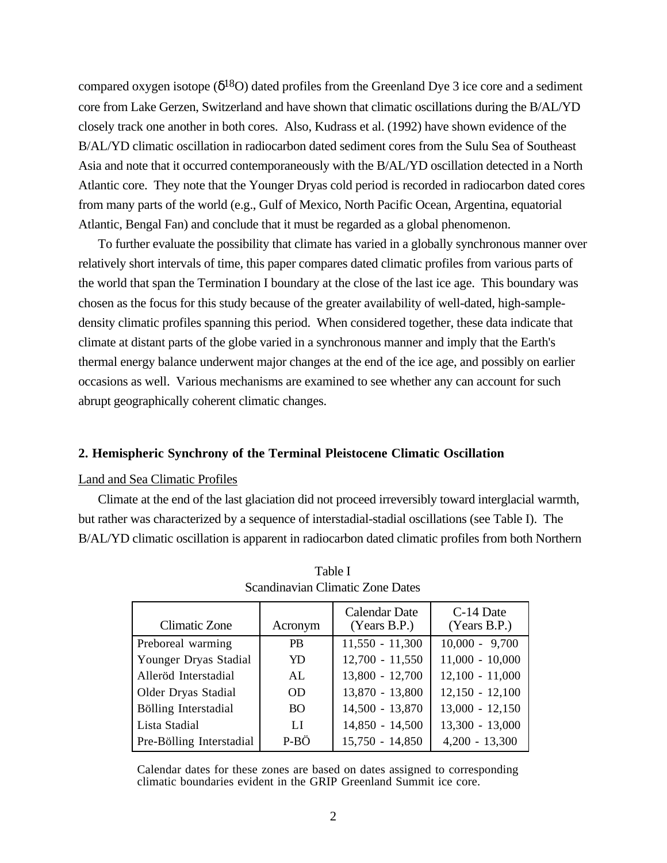compared oxygen isotope ( $\delta^{18}O$ ) dated profiles from the Greenland Dye 3 ice core and a sediment core from Lake Gerzen, Switzerland and have shown that climatic oscillations during the B/AL/YD closely track one another in both cores. Also, Kudrass et al. (1992) have shown evidence of the B/AL/YD climatic oscillation in radiocarbon dated sediment cores from the Sulu Sea of Southeast Asia and note that it occurred contemporaneously with the B/AL/YD oscillation detected in a North Atlantic core. They note that the Younger Dryas cold period is recorded in radiocarbon dated cores from many parts of the world (e.g., Gulf of Mexico, North Pacific Ocean, Argentina, equatorial Atlantic, Bengal Fan) and conclude that it must be regarded as a global phenomenon.

To further evaluate the possibility that climate has varied in a globally synchronous manner over relatively short intervals of time, this paper compares dated climatic profiles from various parts of the world that span the Termination I boundary at the close of the last ice age. This boundary was chosen as the focus for this study because of the greater availability of well-dated, high-sampledensity climatic profiles spanning this period. When considered together, these data indicate that climate at distant parts of the globe varied in a synchronous manner and imply that the Earth's thermal energy balance underwent major changes at the end of the ice age, and possibly on earlier occasions as well. Various mechanisms are examined to see whether any can account for such abrupt geographically coherent climatic changes.

## **2. Hemispheric Synchrony of the Terminal Pleistocene Climatic Oscillation**

# Land and Sea Climatic Profiles

Climate at the end of the last glaciation did not proceed irreversibly toward interglacial warmth, but rather was characterized by a sequence of interstadial-stadial oscillations (see Table I). The B/AL/YD climatic oscillation is apparent in radiocarbon dated climatic profiles from both Northern

| <b>Climatic Zone</b>     | Acronym   | <b>Calendar Date</b><br>(Years B.P.) | C-14 Date<br>(Years B.P.) |
|--------------------------|-----------|--------------------------------------|---------------------------|
| Preboreal warming        | <b>PB</b> | $11,550 - 11,300$                    | $10,000 - 9,700$          |
| Younger Dryas Stadial    | YD.       | $12,700 - 11,550$                    | $11,000 - 10,000$         |
| Alleröd Interstadial     | AL        | 13,800 - 12,700                      | $12,100 - 11,000$         |
| Older Dryas Stadial      | 0D        | 13,870 - 13,800                      | $12,150 - 12,100$         |
| Bölling Interstadial     | BO.       | 14,500 - 13,870                      | $13,000 - 12,150$         |
| Lista Stadial            | L1        | 14,850 - 14,500                      | 13,300 - 13,000           |
| Pre-Bölling Interstadial | P-BÖ      | 15,750 - 14,850                      | $4,200 - 13,300$          |

Table I Scandinavian Climatic Zone Dates

Calendar dates for these zones are based on dates assigned to corresponding climatic boundaries evident in the GRIP Greenland Summit ice core.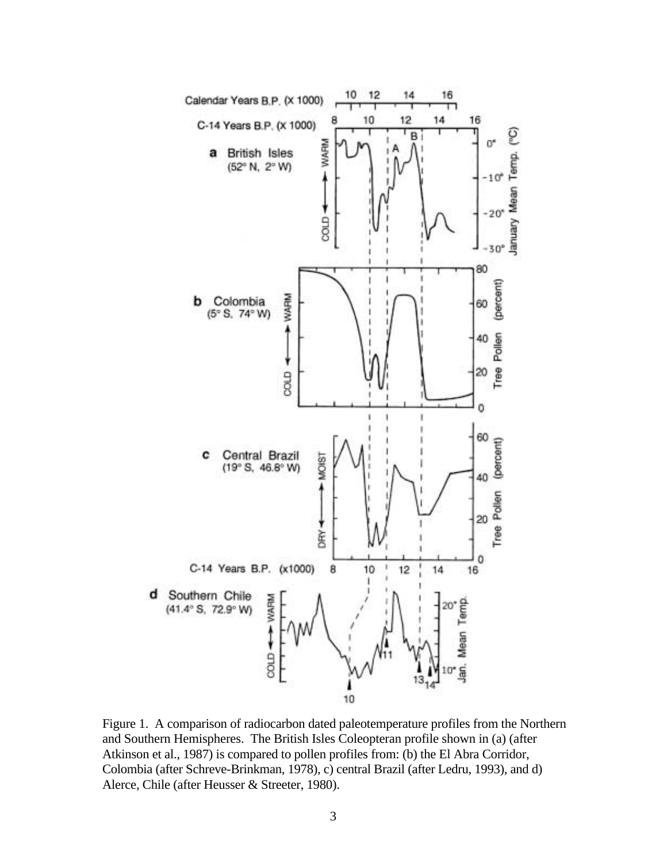

Figure 1. A comparison of radiocarbon dated paleotemperature profiles from the Northern and Southern Hemispheres. The British Isles Coleopteran profile shown in (a) (after Atkinson et al., 1987) is compared to pollen profiles from: (b) the El Abra Corridor, Colombia (after Schreve-Brinkman, 1978), c) central Brazil (after Ledru, 1993), and d) Alerce, Chile (after Heusser & Streeter, 1980).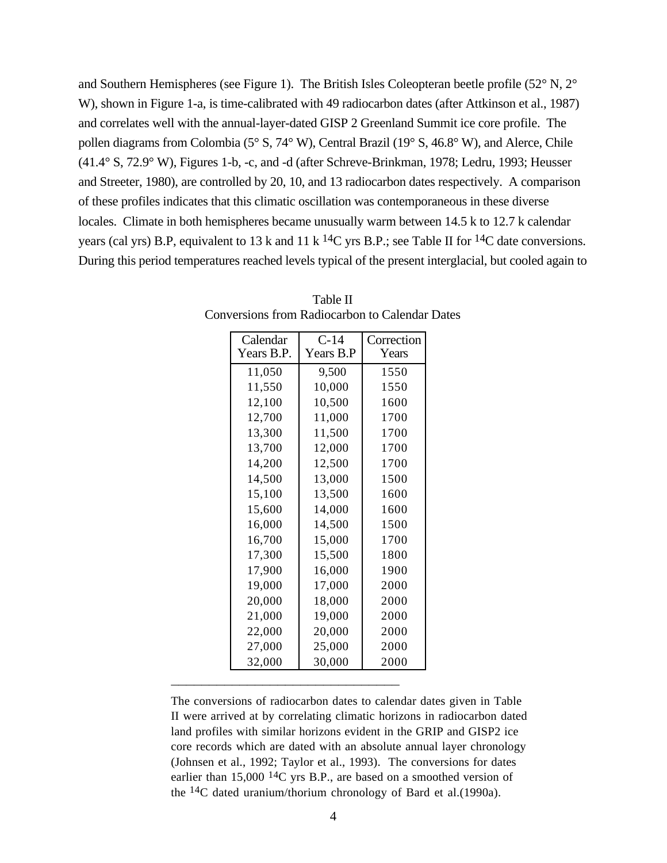and Southern Hemispheres (see Figure 1). The British Isles Coleopteran beetle profile (52° N, 2° W), shown in Figure 1-a, is time-calibrated with 49 radiocarbon dates (after Attkinson et al., 1987) and correlates well with the annual-layer-dated GISP 2 Greenland Summit ice core profile. The pollen diagrams from Colombia (5° S, 74° W), Central Brazil (19° S, 46.8° W), and Alerce, Chile (41.4° S, 72.9° W), Figures 1-b, -c, and -d (after Schreve-Brinkman, 1978; Ledru, 1993; Heusser and Streeter, 1980), are controlled by 20, 10, and 13 radiocarbon dates respectively. A comparison of these profiles indicates that this climatic oscillation was contemporaneous in these diverse locales. Climate in both hemispheres became unusually warm between 14.5 k to 12.7 k calendar years (cal yrs) B.P, equivalent to 13 k and 11 k <sup>14</sup>C yrs B.P.; see Table II for <sup>14</sup>C date conversions. During this period temperatures reached levels typical of the present interglacial, but cooled again to

| Calendar<br>Years B.P. | $C-14$<br>Years B.P | Correction<br>Years |
|------------------------|---------------------|---------------------|
| 11,050                 | 9,500               | 1550                |
| 11,550                 | 10,000              | 1550                |
| 12,100                 | 10,500              | 1600                |
| 12,700                 | 11,000              | 1700                |
| 13,300                 | 11,500              | 1700                |
| 13,700                 | 12,000              | 1700                |
| 14,200                 | 12,500              | 1700                |
| 14,500                 | 13,000              | 1500                |
| 15,100                 | 13,500              | 1600                |
| 15,600                 | 14,000              | 1600                |
| 16,000                 | 14,500              | 1500                |
| 16,700                 | 15,000              | 1700                |
| 17,300                 | 15,500              | 1800                |
| 17,900                 | 16,000              | 1900                |
| 19,000                 | 17,000              | 2000                |
| 20,000                 | 18,000              | 2000                |
| 21,000                 | 19,000              | 2000                |
| 22,000                 | 20,000              | 2000                |
| 27,000                 | 25,000              | 2000                |
| 32,000                 | 30,000              | 2000                |

Table II Conversions from Radiocarbon to Calendar Dates

 $\frac{1}{2}$  ,  $\frac{1}{2}$  ,  $\frac{1}{2}$  ,  $\frac{1}{2}$  ,  $\frac{1}{2}$  ,  $\frac{1}{2}$  ,  $\frac{1}{2}$  ,  $\frac{1}{2}$  ,  $\frac{1}{2}$  ,  $\frac{1}{2}$  ,  $\frac{1}{2}$  ,  $\frac{1}{2}$  ,  $\frac{1}{2}$  ,  $\frac{1}{2}$  ,  $\frac{1}{2}$  ,  $\frac{1}{2}$  ,  $\frac{1}{2}$  ,  $\frac{1}{2}$  ,  $\frac{1$ 

The conversions of radiocarbon dates to calendar dates given in Table II were arrived at by correlating climatic horizons in radiocarbon dated land profiles with similar horizons evident in the GRIP and GISP2 ice core records which are dated with an absolute annual layer chronology (Johnsen et al., 1992; Taylor et al., 1993). The conversions for dates earlier than  $15,000$  <sup>14</sup>C yrs B.P., are based on a smoothed version of the  $14C$  dated uranium/thorium chronology of Bard et al.(1990a).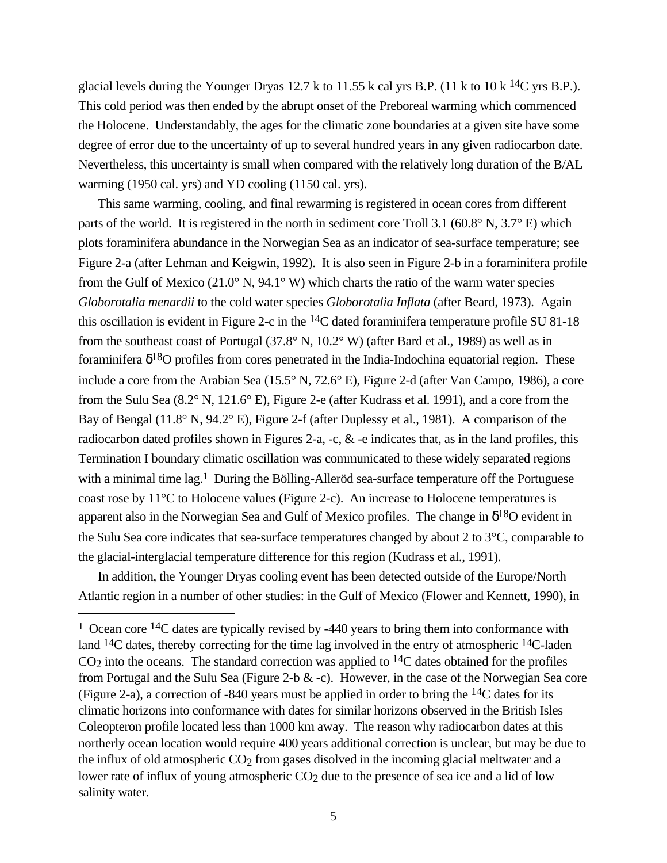glacial levels during the Younger Dryas 12.7 k to 11.55 k cal yrs B.P. (11 k to 10 k  $^{14}$ C yrs B.P.). This cold period was then ended by the abrupt onset of the Preboreal warming which commenced the Holocene. Understandably, the ages for the climatic zone boundaries at a given site have some degree of error due to the uncertainty of up to several hundred years in any given radiocarbon date. Nevertheless, this uncertainty is small when compared with the relatively long duration of the B/AL warming (1950 cal. yrs) and YD cooling (1150 cal. yrs).

This same warming, cooling, and final rewarming is registered in ocean cores from different parts of the world. It is registered in the north in sediment core Troll 3.1 (60.8° N, 3.7° E) which plots foraminifera abundance in the Norwegian Sea as an indicator of sea-surface temperature; see Figure 2-a (after Lehman and Keigwin, 1992). It is also seen in Figure 2-b in a foraminifera profile from the Gulf of Mexico (21.0 $\degree$  N, 94.1 $\degree$  W) which charts the ratio of the warm water species *Globorotalia menardii* to the cold water species *Globorotalia Inflata* (after Beard, 1973). Again this oscillation is evident in Figure 2-c in the 14C dated foraminifera temperature profile SU 81-18 from the southeast coast of Portugal (37.8° N, 10.2° W) (after Bard et al., 1989) as well as in foraminifera  $\delta^{18}$ O profiles from cores penetrated in the India-Indochina equatorial region. These include a core from the Arabian Sea (15.5° N, 72.6° E), Figure 2-d (after Van Campo, 1986), a core from the Sulu Sea (8.2° N, 121.6° E), Figure 2-e (after Kudrass et al. 1991), and a core from the Bay of Bengal (11.8° N, 94.2° E), Figure 2-f (after Duplessy et al., 1981). A comparison of the radiocarbon dated profiles shown in Figures 2-a, -c, & -e indicates that, as in the land profiles, this Termination I boundary climatic oscillation was communicated to these widely separated regions with a minimal time lag.<sup>1</sup> During the Bölling-Alleröd sea-surface temperature off the Portuguese coast rose by 11°C to Holocene values (Figure 2-c). An increase to Holocene temperatures is apparent also in the Norwegian Sea and Gulf of Mexico profiles. The change in  $\delta^{18}$ O evident in the Sulu Sea core indicates that sea-surface temperatures changed by about 2 to 3°C, comparable to the glacial-interglacial temperature difference for this region (Kudrass et al., 1991).

In addition, the Younger Dryas cooling event has been detected outside of the Europe/North Atlantic region in a number of other studies: in the Gulf of Mexico (Flower and Kennett, 1990), in

<sup>&</sup>lt;sup>1</sup> Ocean core <sup>14</sup>C dates are typically revised by -440 years to bring them into conformance with land <sup>14</sup>C dates, thereby correcting for the time lag involved in the entry of atmospheric <sup>14</sup>C-laden  $CO<sub>2</sub>$  into the oceans. The standard correction was applied to <sup>14</sup>C dates obtained for the profiles from Portugal and the Sulu Sea (Figure 2-b & -c). However, in the case of the Norwegian Sea core (Figure 2-a), a correction of -840 years must be applied in order to bring the 14C dates for its climatic horizons into conformance with dates for similar horizons observed in the British Isles Coleopteron profile located less than 1000 km away. The reason why radiocarbon dates at this northerly ocean location would require 400 years additional correction is unclear, but may be due to the influx of old atmospheric  $CO<sub>2</sub>$  from gases disolved in the incoming glacial meltwater and a lower rate of influx of young atmospheric  $CO<sub>2</sub>$  due to the presence of sea ice and a lid of low salinity water.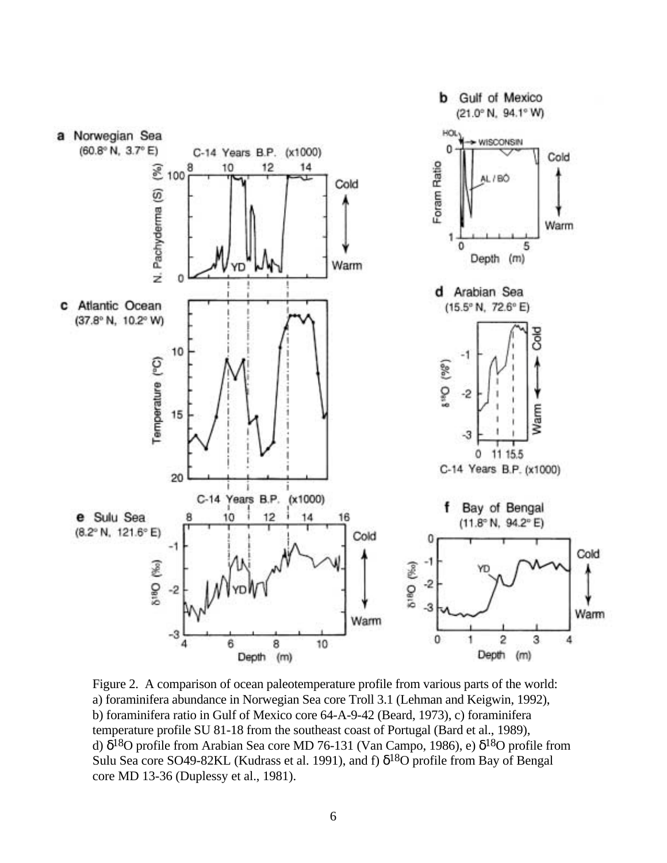

Figure 2. A comparison of ocean paleotemperature profile from various parts of the world: a) foraminifera abundance in Norwegian Sea core Troll 3.1 (Lehman and Keigwin, 1992), b) foraminifera ratio in Gulf of Mexico core 64-A-9-42 (Beard, 1973), c) foraminifera temperature profile SU 81-18 from the southeast coast of Portugal (Bard et al., 1989), d)  $\delta^{18}$ O profile from Arabian Sea core MD 76-131 (Van Campo, 1986), e)  $\delta^{18}$ O profile from Sulu Sea core SO49-82KL (Kudrass et al. 1991), and f)  $\delta^{18}O$  profile from Bay of Bengal core MD 13-36 (Duplessy et al., 1981).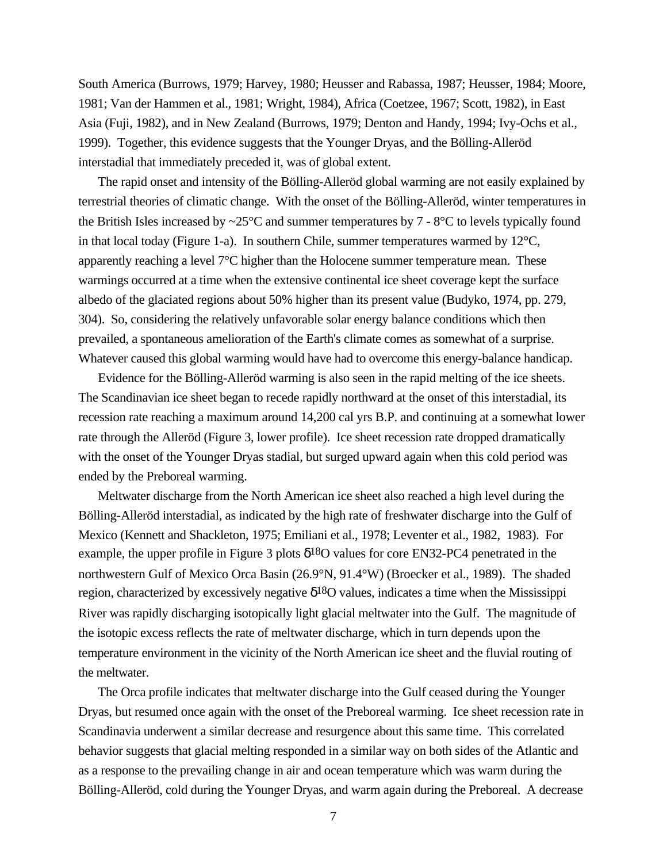South America (Burrows, 1979; Harvey, 1980; Heusser and Rabassa, 1987; Heusser, 1984; Moore, 1981; Van der Hammen et al., 1981; Wright, 1984), Africa (Coetzee, 1967; Scott, 1982), in East Asia (Fuji, 1982), and in New Zealand (Burrows, 1979; Denton and Handy, 1994; Ivy-Ochs et al., 1999). Together, this evidence suggests that the Younger Dryas, and the Bölling-Alleröd interstadial that immediately preceded it, was of global extent.

The rapid onset and intensity of the Bölling-Alleröd global warming are not easily explained by terrestrial theories of climatic change. With the onset of the Bölling-Alleröd, winter temperatures in the British Isles increased by  $\sim$ 25°C and summer temperatures by 7 - 8°C to levels typically found in that local today (Figure 1-a). In southern Chile, summer temperatures warmed by  $12^{\circ}$ C, apparently reaching a level 7°C higher than the Holocene summer temperature mean. These warmings occurred at a time when the extensive continental ice sheet coverage kept the surface albedo of the glaciated regions about 50% higher than its present value (Budyko, 1974, pp. 279, 304). So, considering the relatively unfavorable solar energy balance conditions which then prevailed, a spontaneous amelioration of the Earth's climate comes as somewhat of a surprise. Whatever caused this global warming would have had to overcome this energy-balance handicap.

Evidence for the Bölling-Alleröd warming is also seen in the rapid melting of the ice sheets. The Scandinavian ice sheet began to recede rapidly northward at the onset of this interstadial, its recession rate reaching a maximum around 14,200 cal yrs B.P. and continuing at a somewhat lower rate through the Alleröd (Figure 3, lower profile). Ice sheet recession rate dropped dramatically with the onset of the Younger Dryas stadial, but surged upward again when this cold period was ended by the Preboreal warming.

Meltwater discharge from the North American ice sheet also reached a high level during the Bölling-Alleröd interstadial, as indicated by the high rate of freshwater discharge into the Gulf of Mexico (Kennett and Shackleton, 1975; Emiliani et al., 1978; Leventer et al., 1982, 1983). For example, the upper profile in Figure 3 plots  $\delta^{18}$ O values for core EN32-PC4 penetrated in the northwestern Gulf of Mexico Orca Basin (26.9°N, 91.4°W) (Broecker et al., 1989). The shaded region, characterized by excessively negative  $\delta^{18}$ O values, indicates a time when the Mississippi River was rapidly discharging isotopically light glacial meltwater into the Gulf. The magnitude of the isotopic excess reflects the rate of meltwater discharge, which in turn depends upon the temperature environment in the vicinity of the North American ice sheet and the fluvial routing of the meltwater.

The Orca profile indicates that meltwater discharge into the Gulf ceased during the Younger Dryas, but resumed once again with the onset of the Preboreal warming. Ice sheet recession rate in Scandinavia underwent a similar decrease and resurgence about this same time. This correlated behavior suggests that glacial melting responded in a similar way on both sides of the Atlantic and as a response to the prevailing change in air and ocean temperature which was warm during the Bölling-Alleröd, cold during the Younger Dryas, and warm again during the Preboreal. A decrease

7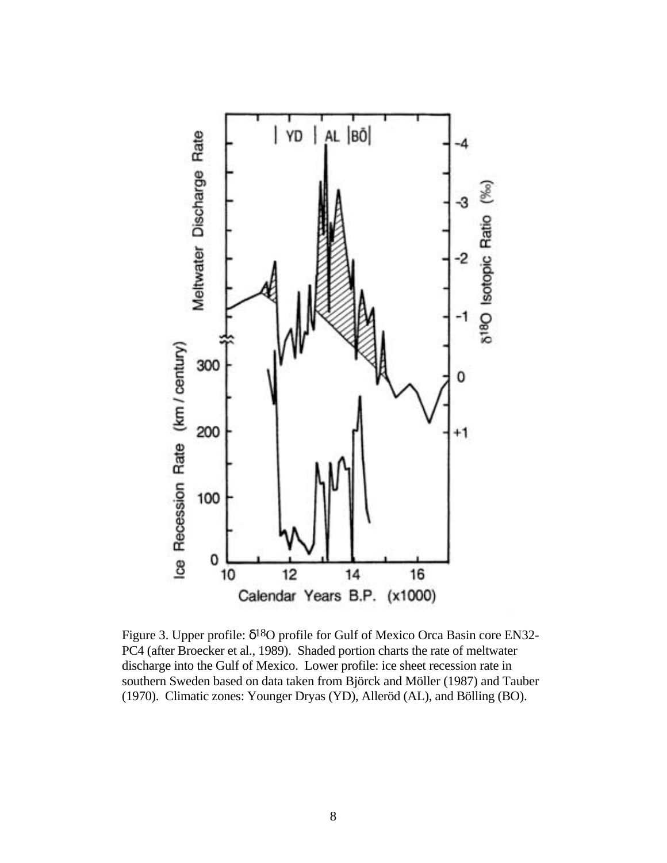

Figure 3. Upper profile:  $\delta^{18}O$  profile for Gulf of Mexico Orca Basin core EN32-PC4 (after Broecker et al., 1989). Shaded portion charts the rate of meltwater discharge into the Gulf of Mexico. Lower profile: ice sheet recession rate in southern Sweden based on data taken from Björck and Möller (1987) and Tauber (1970). Climatic zones: Younger Dryas (YD), Alleröd (AL), and Bölling (BO).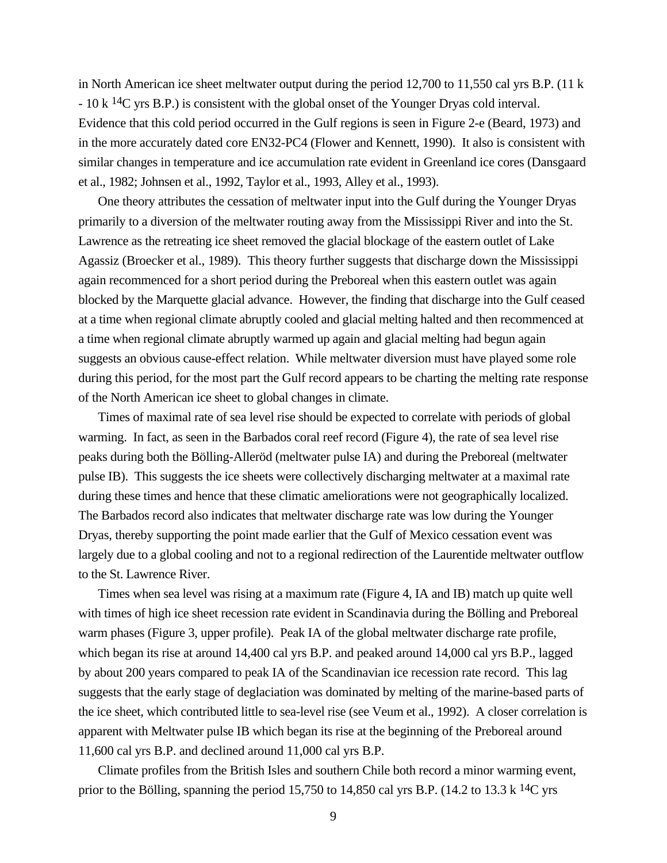in North American ice sheet meltwater output during the period 12,700 to 11,550 cal yrs B.P. (11 k  $-10 \text{ k }$  14C yrs B.P.) is consistent with the global onset of the Younger Dryas cold interval. Evidence that this cold period occurred in the Gulf regions is seen in Figure 2-e (Beard, 1973) and in the more accurately dated core EN32-PC4 (Flower and Kennett, 1990). It also is consistent with similar changes in temperature and ice accumulation rate evident in Greenland ice cores (Dansgaard et al., 1982; Johnsen et al., 1992, Taylor et al., 1993, Alley et al., 1993).

One theory attributes the cessation of meltwater input into the Gulf during the Younger Dryas primarily to a diversion of the meltwater routing away from the Mississippi River and into the St. Lawrence as the retreating ice sheet removed the glacial blockage of the eastern outlet of Lake Agassiz (Broecker et al., 1989). This theory further suggests that discharge down the Mississippi again recommenced for a short period during the Preboreal when this eastern outlet was again blocked by the Marquette glacial advance. However, the finding that discharge into the Gulf ceased at a time when regional climate abruptly cooled and glacial melting halted and then recommenced at a time when regional climate abruptly warmed up again and glacial melting had begun again suggests an obvious cause-effect relation. While meltwater diversion must have played some role during this period, for the most part the Gulf record appears to be charting the melting rate response of the North American ice sheet to global changes in climate.

Times of maximal rate of sea level rise should be expected to correlate with periods of global warming. In fact, as seen in the Barbados coral reef record (Figure 4), the rate of sea level rise peaks during both the Bölling-Alleröd (meltwater pulse IA) and during the Preboreal (meltwater pulse IB). This suggests the ice sheets were collectively discharging meltwater at a maximal rate during these times and hence that these climatic ameliorations were not geographically localized. The Barbados record also indicates that meltwater discharge rate was low during the Younger Dryas, thereby supporting the point made earlier that the Gulf of Mexico cessation event was largely due to a global cooling and not to a regional redirection of the Laurentide meltwater outflow to the St. Lawrence River.

Times when sea level was rising at a maximum rate (Figure 4, IA and IB) match up quite well with times of high ice sheet recession rate evident in Scandinavia during the Bölling and Preboreal warm phases (Figure 3, upper profile). Peak IA of the global meltwater discharge rate profile, which began its rise at around 14,400 cal yrs B.P. and peaked around 14,000 cal yrs B.P., lagged by about 200 years compared to peak IA of the Scandinavian ice recession rate record. This lag suggests that the early stage of deglaciation was dominated by melting of the marine-based parts of the ice sheet, which contributed little to sea-level rise (see Veum et al., 1992). A closer correlation is apparent with Meltwater pulse IB which began its rise at the beginning of the Preboreal around 11,600 cal yrs B.P. and declined around 11,000 cal yrs B.P.

Climate profiles from the British Isles and southern Chile both record a minor warming event, prior to the Bölling, spanning the period 15,750 to 14,850 cal yrs B.P. (14.2 to 13.3 k <sup>14</sup>C yrs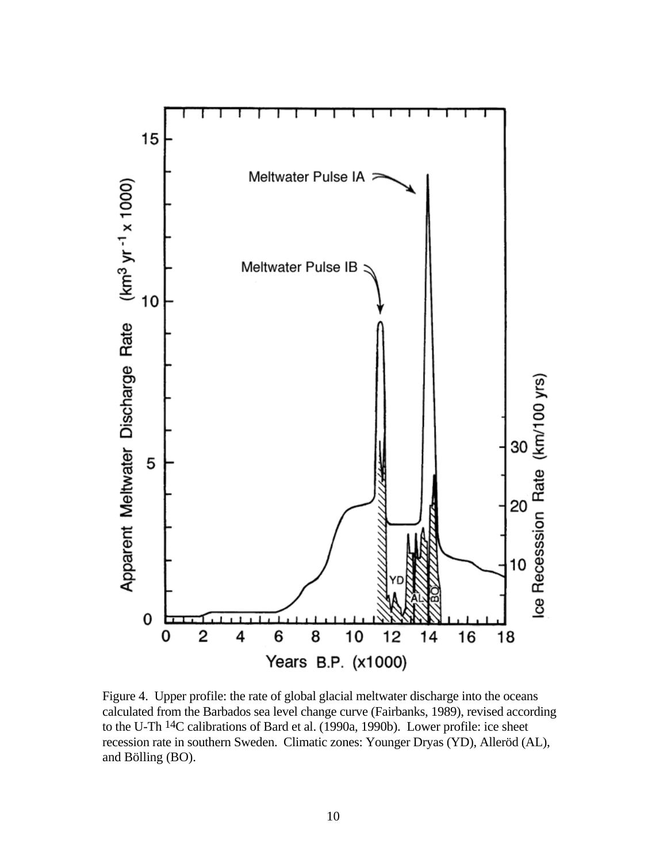

Figure 4. Upper profile: the rate of global glacial meltwater discharge into the oceans calculated from the Barbados sea level change curve (Fairbanks, 1989), revised according to the U-Th 14C calibrations of Bard et al. (1990a, 1990b). Lower profile: ice sheet recession rate in southern Sweden. Climatic zones: Younger Dryas (YD), Alleröd (AL), and Bölling (BO).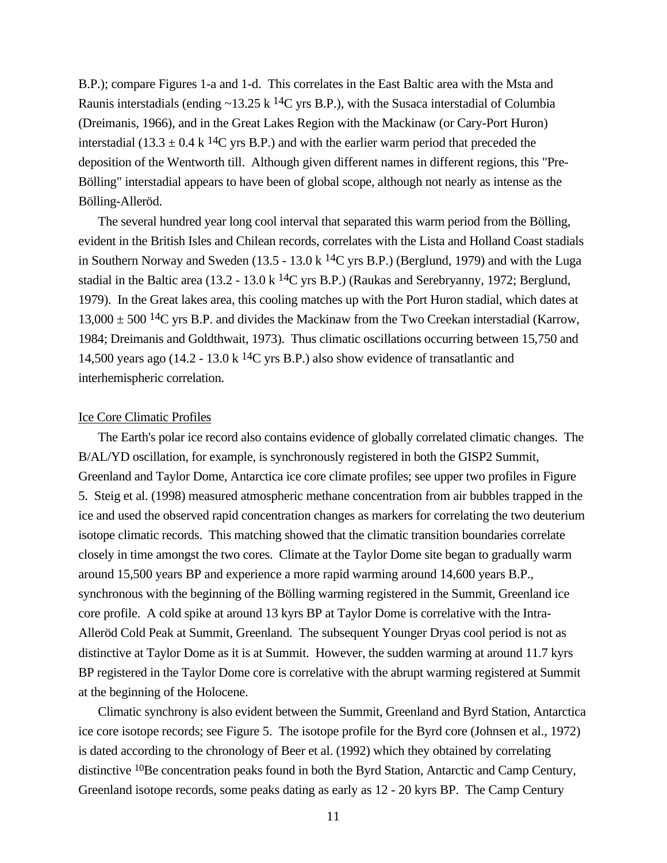B.P.); compare Figures 1-a and 1-d. This correlates in the East Baltic area with the Msta and Raunis interstadials (ending  $\sim$ 13.25 k <sup>14</sup>C yrs B.P.), with the Susaca interstadial of Columbia (Dreimanis, 1966), and in the Great Lakes Region with the Mackinaw (or Cary-Port Huron) interstadial (13.3  $\pm$  0.4 k <sup>14</sup>C yrs B.P.) and with the earlier warm period that preceded the deposition of the Wentworth till. Although given different names in different regions, this "Pre-Bölling" interstadial appears to have been of global scope, although not nearly as intense as the Bölling-Alleröd.

The several hundred year long cool interval that separated this warm period from the Bölling, evident in the British Isles and Chilean records, correlates with the Lista and Holland Coast stadials in Southern Norway and Sweden (13.5 - 13.0 k <sup>14</sup>C yrs B.P.) (Berglund, 1979) and with the Luga stadial in the Baltic area (13.2 - 13.0 k 14C yrs B.P.) (Raukas and Serebryanny, 1972; Berglund, 1979). In the Great lakes area, this cooling matches up with the Port Huron stadial, which dates at  $13,000 \pm 500$  <sup>14</sup>C yrs B.P. and divides the Mackinaw from the Two Creekan interstadial (Karrow, 1984; Dreimanis and Goldthwait, 1973). Thus climatic oscillations occurring between 15,750 and 14,500 years ago (14.2 - 13.0 k <sup>14</sup>C yrs B.P.) also show evidence of transatlantic and interhemispheric correlation.

#### Ice Core Climatic Profiles

The Earth's polar ice record also contains evidence of globally correlated climatic changes. The B/AL/YD oscillation, for example, is synchronously registered in both the GISP2 Summit, Greenland and Taylor Dome, Antarctica ice core climate profiles; see upper two profiles in Figure 5. Steig et al. (1998) measured atmospheric methane concentration from air bubbles trapped in the ice and used the observed rapid concentration changes as markers for correlating the two deuterium isotope climatic records. This matching showed that the climatic transition boundaries correlate closely in time amongst the two cores. Climate at the Taylor Dome site began to gradually warm around 15,500 years BP and experience a more rapid warming around 14,600 years B.P., synchronous with the beginning of the Bölling warming registered in the Summit, Greenland ice core profile. A cold spike at around 13 kyrs BP at Taylor Dome is correlative with the Intra-Alleröd Cold Peak at Summit, Greenland. The subsequent Younger Dryas cool period is not as distinctive at Taylor Dome as it is at Summit. However, the sudden warming at around 11.7 kyrs BP registered in the Taylor Dome core is correlative with the abrupt warming registered at Summit at the beginning of the Holocene.

Climatic synchrony is also evident between the Summit, Greenland and Byrd Station, Antarctica ice core isotope records; see Figure 5. The isotope profile for the Byrd core (Johnsen et al., 1972) is dated according to the chronology of Beer et al. (1992) which they obtained by correlating distinctive 10Be concentration peaks found in both the Byrd Station, Antarctic and Camp Century, Greenland isotope records, some peaks dating as early as 12 - 20 kyrs BP. The Camp Century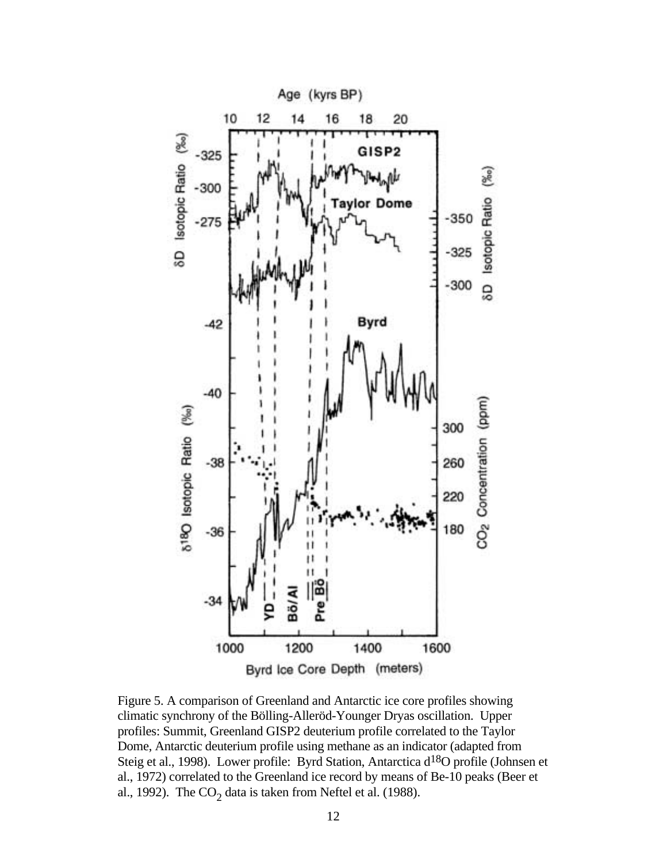

Figure 5. A comparison of Greenland and Antarctic ice core profiles showing climatic synchrony of the Bölling-Alleröd-Younger Dryas oscillation. Upper profiles: Summit, Greenland GISP2 deuterium profile correlated to the Taylor Dome, Antarctic deuterium profile using methane as an indicator (adapted from Steig et al., 1998). Lower profile: Byrd Station, Antarctica  $d^{18}O$  profile (Johnsen et al., 1972) correlated to the Greenland ice record by means of Be-10 peaks (Beer et al., 1992). The  $CO<sub>2</sub>$  data is taken from Neftel et al. (1988).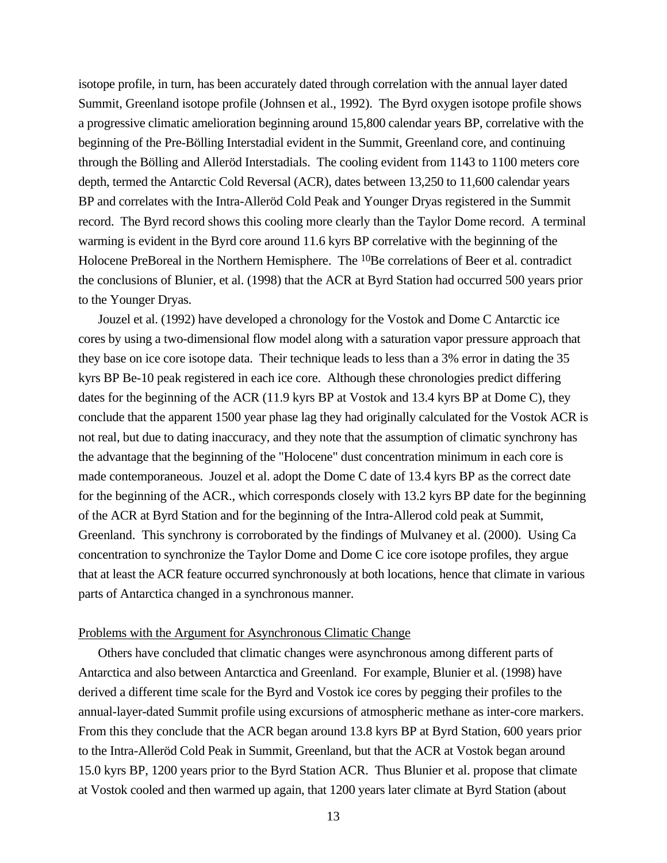isotope profile, in turn, has been accurately dated through correlation with the annual layer dated Summit, Greenland isotope profile (Johnsen et al., 1992). The Byrd oxygen isotope profile shows a progressive climatic amelioration beginning around 15,800 calendar years BP, correlative with the beginning of the Pre-Bölling Interstadial evident in the Summit, Greenland core, and continuing through the Bölling and Alleröd Interstadials. The cooling evident from 1143 to 1100 meters core depth, termed the Antarctic Cold Reversal (ACR), dates between 13,250 to 11,600 calendar years BP and correlates with the Intra-Alleröd Cold Peak and Younger Dryas registered in the Summit record. The Byrd record shows this cooling more clearly than the Taylor Dome record. A terminal warming is evident in the Byrd core around 11.6 kyrs BP correlative with the beginning of the Holocene PreBoreal in the Northern Hemisphere. The <sup>10</sup>Be correlations of Beer et al. contradict the conclusions of Blunier, et al. (1998) that the ACR at Byrd Station had occurred 500 years prior to the Younger Dryas.

Jouzel et al. (1992) have developed a chronology for the Vostok and Dome C Antarctic ice cores by using a two-dimensional flow model along with a saturation vapor pressure approach that they base on ice core isotope data. Their technique leads to less than a 3% error in dating the 35 kyrs BP Be-10 peak registered in each ice core. Although these chronologies predict differing dates for the beginning of the ACR (11.9 kyrs BP at Vostok and 13.4 kyrs BP at Dome C), they conclude that the apparent 1500 year phase lag they had originally calculated for the Vostok ACR is not real, but due to dating inaccuracy, and they note that the assumption of climatic synchrony has the advantage that the beginning of the "Holocene" dust concentration minimum in each core is made contemporaneous. Jouzel et al. adopt the Dome C date of 13.4 kyrs BP as the correct date for the beginning of the ACR., which corresponds closely with 13.2 kyrs BP date for the beginning of the ACR at Byrd Station and for the beginning of the Intra-Allerod cold peak at Summit, Greenland. This synchrony is corroborated by the findings of Mulvaney et al. (2000). Using Ca concentration to synchronize the Taylor Dome and Dome C ice core isotope profiles, they argue that at least the ACR feature occurred synchronously at both locations, hence that climate in various parts of Antarctica changed in a synchronous manner.

## Problems with the Argument for Asynchronous Climatic Change

Others have concluded that climatic changes were asynchronous among different parts of Antarctica and also between Antarctica and Greenland. For example, Blunier et al. (1998) have derived a different time scale for the Byrd and Vostok ice cores by pegging their profiles to the annual-layer-dated Summit profile using excursions of atmospheric methane as inter-core markers. From this they conclude that the ACR began around 13.8 kyrs BP at Byrd Station, 600 years prior to the Intra-Alleröd Cold Peak in Summit, Greenland, but that the ACR at Vostok began around 15.0 kyrs BP, 1200 years prior to the Byrd Station ACR. Thus Blunier et al. propose that climate at Vostok cooled and then warmed up again, that 1200 years later climate at Byrd Station (about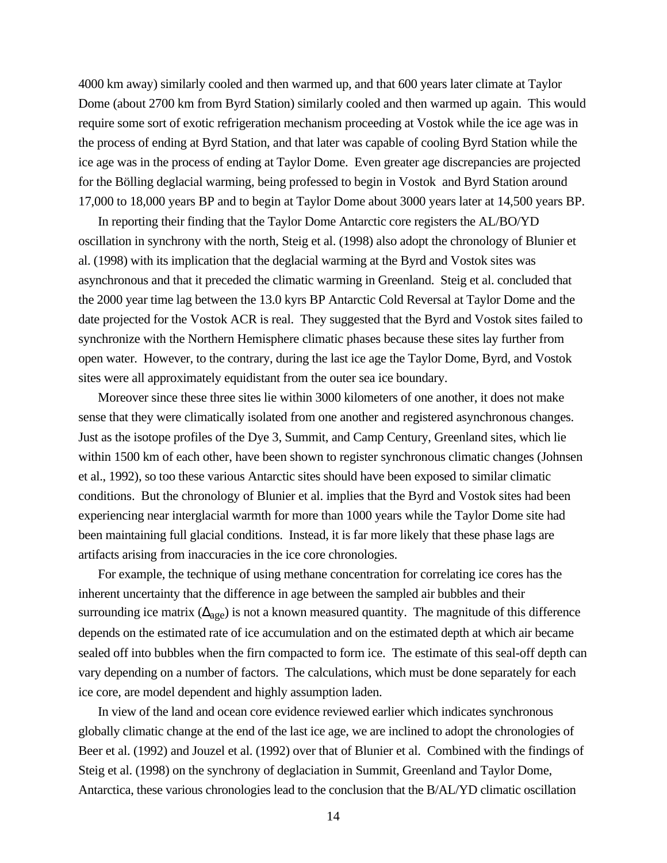4000 km away) similarly cooled and then warmed up, and that 600 years later climate at Taylor Dome (about 2700 km from Byrd Station) similarly cooled and then warmed up again. This would require some sort of exotic refrigeration mechanism proceeding at Vostok while the ice age was in the process of ending at Byrd Station, and that later was capable of cooling Byrd Station while the ice age was in the process of ending at Taylor Dome. Even greater age discrepancies are projected for the Bölling deglacial warming, being professed to begin in Vostok and Byrd Station around 17,000 to 18,000 years BP and to begin at Taylor Dome about 3000 years later at 14,500 years BP.

In reporting their finding that the Taylor Dome Antarctic core registers the AL/BO/YD oscillation in synchrony with the north, Steig et al. (1998) also adopt the chronology of Blunier et al. (1998) with its implication that the deglacial warming at the Byrd and Vostok sites was asynchronous and that it preceded the climatic warming in Greenland. Steig et al. concluded that the 2000 year time lag between the 13.0 kyrs BP Antarctic Cold Reversal at Taylor Dome and the date projected for the Vostok ACR is real. They suggested that the Byrd and Vostok sites failed to synchronize with the Northern Hemisphere climatic phases because these sites lay further from open water. However, to the contrary, during the last ice age the Taylor Dome, Byrd, and Vostok sites were all approximately equidistant from the outer sea ice boundary.

Moreover since these three sites lie within 3000 kilometers of one another, it does not make sense that they were climatically isolated from one another and registered asynchronous changes. Just as the isotope profiles of the Dye 3, Summit, and Camp Century, Greenland sites, which lie within 1500 km of each other, have been shown to register synchronous climatic changes (Johnsen et al., 1992), so too these various Antarctic sites should have been exposed to similar climatic conditions. But the chronology of Blunier et al. implies that the Byrd and Vostok sites had been experiencing near interglacial warmth for more than 1000 years while the Taylor Dome site had been maintaining full glacial conditions. Instead, it is far more likely that these phase lags are artifacts arising from inaccuracies in the ice core chronologies.

For example, the technique of using methane concentration for correlating ice cores has the inherent uncertainty that the difference in age between the sampled air bubbles and their surrounding ice matrix  $(\Delta_{\text{age}})$  is not a known measured quantity. The magnitude of this difference depends on the estimated rate of ice accumulation and on the estimated depth at which air became sealed off into bubbles when the firn compacted to form ice. The estimate of this seal-off depth can vary depending on a number of factors. The calculations, which must be done separately for each ice core, are model dependent and highly assumption laden.

In view of the land and ocean core evidence reviewed earlier which indicates synchronous globally climatic change at the end of the last ice age, we are inclined to adopt the chronologies of Beer et al. (1992) and Jouzel et al. (1992) over that of Blunier et al. Combined with the findings of Steig et al. (1998) on the synchrony of deglaciation in Summit, Greenland and Taylor Dome, Antarctica, these various chronologies lead to the conclusion that the B/AL/YD climatic oscillation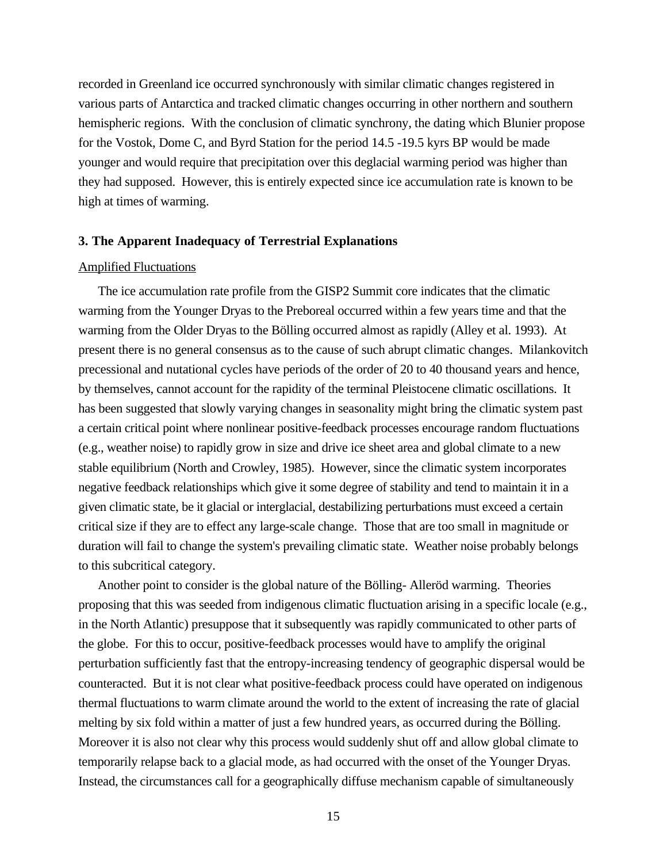recorded in Greenland ice occurred synchronously with similar climatic changes registered in various parts of Antarctica and tracked climatic changes occurring in other northern and southern hemispheric regions. With the conclusion of climatic synchrony, the dating which Blunier propose for the Vostok, Dome C, and Byrd Station for the period 14.5 -19.5 kyrs BP would be made younger and would require that precipitation over this deglacial warming period was higher than they had supposed. However, this is entirely expected since ice accumulation rate is known to be high at times of warming.

#### **3. The Apparent Inadequacy of Terrestrial Explanations**

#### Amplified Fluctuations

The ice accumulation rate profile from the GISP2 Summit core indicates that the climatic warming from the Younger Dryas to the Preboreal occurred within a few years time and that the warming from the Older Dryas to the Bölling occurred almost as rapidly (Alley et al. 1993). At present there is no general consensus as to the cause of such abrupt climatic changes. Milankovitch precessional and nutational cycles have periods of the order of 20 to 40 thousand years and hence, by themselves, cannot account for the rapidity of the terminal Pleistocene climatic oscillations. It has been suggested that slowly varying changes in seasonality might bring the climatic system past a certain critical point where nonlinear positive-feedback processes encourage random fluctuations (e.g., weather noise) to rapidly grow in size and drive ice sheet area and global climate to a new stable equilibrium (North and Crowley, 1985). However, since the climatic system incorporates negative feedback relationships which give it some degree of stability and tend to maintain it in a given climatic state, be it glacial or interglacial, destabilizing perturbations must exceed a certain critical size if they are to effect any large-scale change. Those that are too small in magnitude or duration will fail to change the system's prevailing climatic state. Weather noise probably belongs to this subcritical category.

Another point to consider is the global nature of the Bölling- Alleröd warming. Theories proposing that this was seeded from indigenous climatic fluctuation arising in a specific locale (e.g., in the North Atlantic) presuppose that it subsequently was rapidly communicated to other parts of the globe. For this to occur, positive-feedback processes would have to amplify the original perturbation sufficiently fast that the entropy-increasing tendency of geographic dispersal would be counteracted. But it is not clear what positive-feedback process could have operated on indigenous thermal fluctuations to warm climate around the world to the extent of increasing the rate of glacial melting by six fold within a matter of just a few hundred years, as occurred during the Bölling. Moreover it is also not clear why this process would suddenly shut off and allow global climate to temporarily relapse back to a glacial mode, as had occurred with the onset of the Younger Dryas. Instead, the circumstances call for a geographically diffuse mechanism capable of simultaneously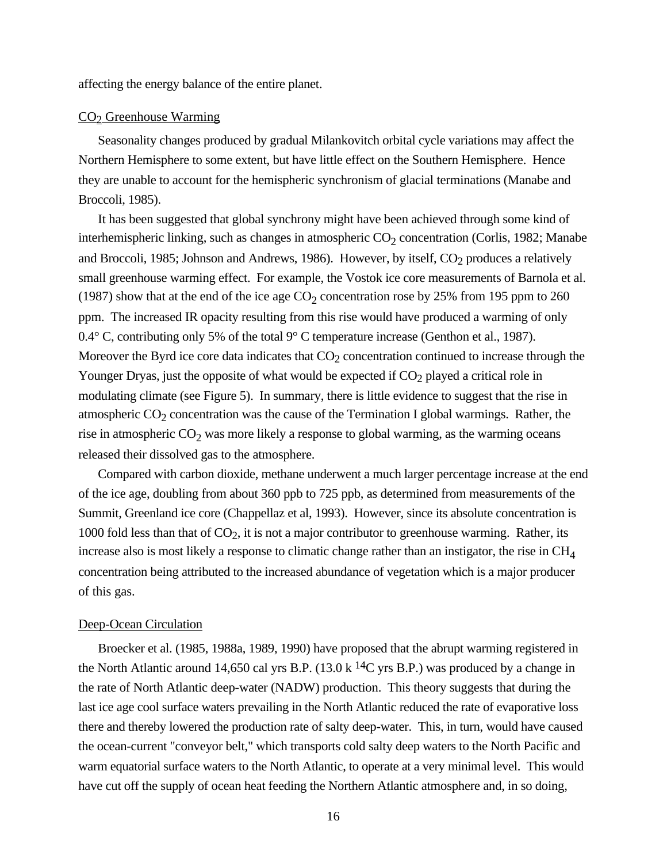affecting the energy balance of the entire planet.

## CO<sub>2</sub> Greenhouse Warming

Seasonality changes produced by gradual Milankovitch orbital cycle variations may affect the Northern Hemisphere to some extent, but have little effect on the Southern Hemisphere. Hence they are unable to account for the hemispheric synchronism of glacial terminations (Manabe and Broccoli, 1985).

It has been suggested that global synchrony might have been achieved through some kind of interhemispheric linking, such as changes in atmospheric  $CO_2$  concentration (Corlis, 1982; Manabe and Broccoli, 1985; Johnson and Andrews, 1986). However, by itself,  $CO<sub>2</sub>$  produces a relatively small greenhouse warming effect. For example, the Vostok ice core measurements of Barnola et al. (1987) show that at the end of the ice age  $CO_2$  concentration rose by 25% from 195 ppm to 260 ppm. The increased IR opacity resulting from this rise would have produced a warming of only 0.4 $\degree$  C, contributing only 5% of the total 9 $\degree$  C temperature increase (Genthon et al., 1987). Moreover the Byrd ice core data indicates that  $CO<sub>2</sub>$  concentration continued to increase through the Younger Dryas, just the opposite of what would be expected if  $CO<sub>2</sub>$  played a critical role in modulating climate (see Figure 5). In summary, there is little evidence to suggest that the rise in atmospheric  $CO_2$  concentration was the cause of the Termination I global warmings. Rather, the rise in atmospheric  $CO_2$  was more likely a response to global warming, as the warming oceans released their dissolved gas to the atmosphere.

Compared with carbon dioxide, methane underwent a much larger percentage increase at the end of the ice age, doubling from about 360 ppb to 725 ppb, as determined from measurements of the Summit, Greenland ice core (Chappellaz et al, 1993). However, since its absolute concentration is 1000 fold less than that of  $CO<sub>2</sub>$ , it is not a major contributor to greenhouse warming. Rather, its increase also is most likely a response to climatic change rather than an instigator, the rise in  $CH<sub>4</sub>$ concentration being attributed to the increased abundance of vegetation which is a major producer of this gas.

## Deep-Ocean Circulation

Broecker et al. (1985, 1988a, 1989, 1990) have proposed that the abrupt warming registered in the North Atlantic around 14,650 cal yrs B.P. (13.0 k 14C yrs B.P.) was produced by a change in the rate of North Atlantic deep-water (NADW) production. This theory suggests that during the last ice age cool surface waters prevailing in the North Atlantic reduced the rate of evaporative loss there and thereby lowered the production rate of salty deep-water. This, in turn, would have caused the ocean-current "conveyor belt," which transports cold salty deep waters to the North Pacific and warm equatorial surface waters to the North Atlantic, to operate at a very minimal level. This would have cut off the supply of ocean heat feeding the Northern Atlantic atmosphere and, in so doing,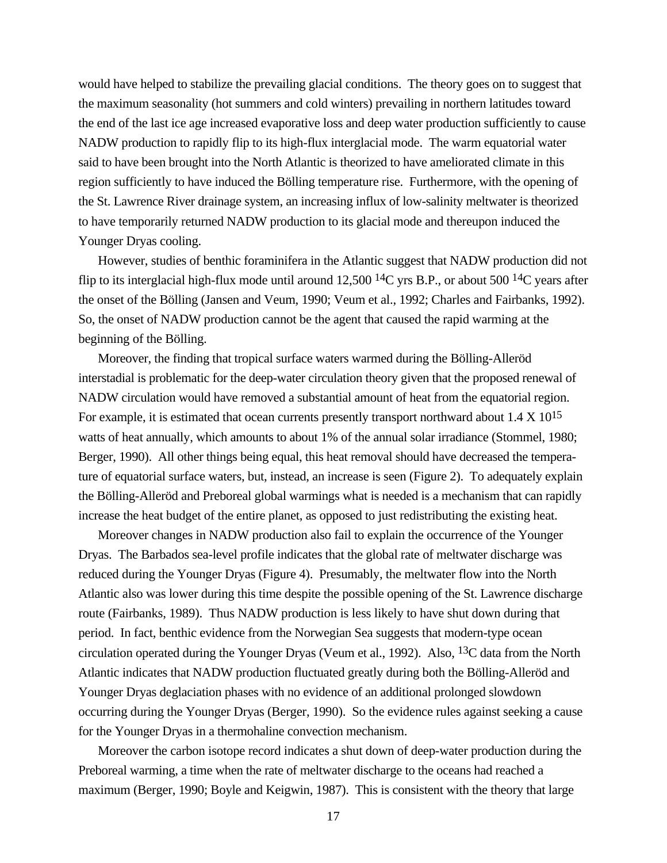would have helped to stabilize the prevailing glacial conditions. The theory goes on to suggest that the maximum seasonality (hot summers and cold winters) prevailing in northern latitudes toward the end of the last ice age increased evaporative loss and deep water production sufficiently to cause NADW production to rapidly flip to its high-flux interglacial mode. The warm equatorial water said to have been brought into the North Atlantic is theorized to have ameliorated climate in this region sufficiently to have induced the Bölling temperature rise. Furthermore, with the opening of the St. Lawrence River drainage system, an increasing influx of low-salinity meltwater is theorized to have temporarily returned NADW production to its glacial mode and thereupon induced the Younger Dryas cooling.

However, studies of benthic foraminifera in the Atlantic suggest that NADW production did not flip to its interglacial high-flux mode until around  $12,500$  <sup>14</sup>C yrs B.P., or about 500 <sup>14</sup>C years after the onset of the Bölling (Jansen and Veum, 1990; Veum et al., 1992; Charles and Fairbanks, 1992). So, the onset of NADW production cannot be the agent that caused the rapid warming at the beginning of the Bölling.

Moreover, the finding that tropical surface waters warmed during the Bölling-Alleröd interstadial is problematic for the deep-water circulation theory given that the proposed renewal of NADW circulation would have removed a substantial amount of heat from the equatorial region. For example, it is estimated that ocean currents presently transport northward about 1.4 X 10<sup>15</sup> watts of heat annually, which amounts to about 1% of the annual solar irradiance (Stommel, 1980; Berger, 1990). All other things being equal, this heat removal should have decreased the temperature of equatorial surface waters, but, instead, an increase is seen (Figure 2). To adequately explain the Bölling-Alleröd and Preboreal global warmings what is needed is a mechanism that can rapidly increase the heat budget of the entire planet, as opposed to just redistributing the existing heat.

Moreover changes in NADW production also fail to explain the occurrence of the Younger Dryas. The Barbados sea-level profile indicates that the global rate of meltwater discharge was reduced during the Younger Dryas (Figure 4). Presumably, the meltwater flow into the North Atlantic also was lower during this time despite the possible opening of the St. Lawrence discharge route (Fairbanks, 1989). Thus NADW production is less likely to have shut down during that period. In fact, benthic evidence from the Norwegian Sea suggests that modern-type ocean circulation operated during the Younger Dryas (Veum et al., 1992). Also, <sup>13</sup>C data from the North Atlantic indicates that NADW production fluctuated greatly during both the Bölling-Alleröd and Younger Dryas deglaciation phases with no evidence of an additional prolonged slowdown occurring during the Younger Dryas (Berger, 1990). So the evidence rules against seeking a cause for the Younger Dryas in a thermohaline convection mechanism.

Moreover the carbon isotope record indicates a shut down of deep-water production during the Preboreal warming, a time when the rate of meltwater discharge to the oceans had reached a maximum (Berger, 1990; Boyle and Keigwin, 1987). This is consistent with the theory that large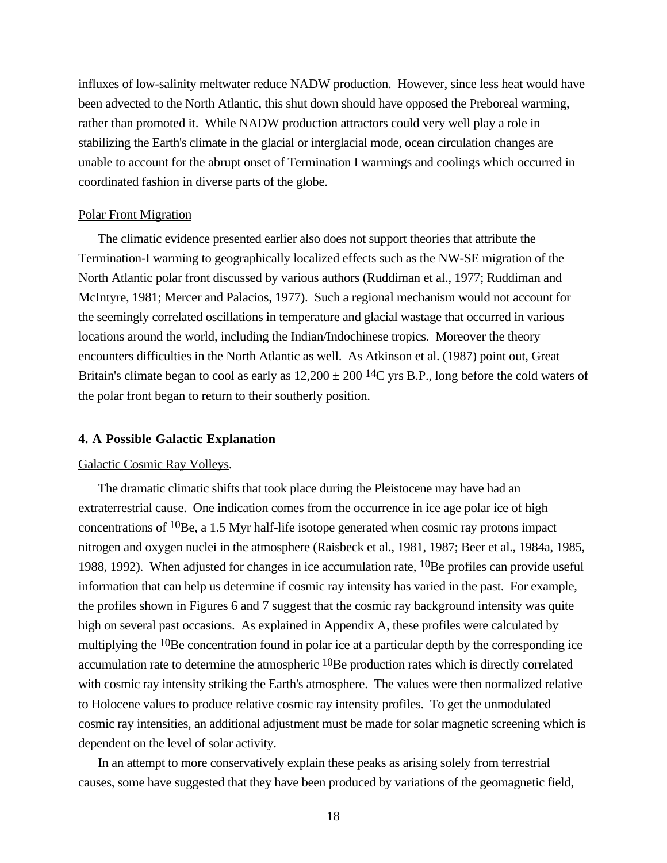influxes of low-salinity meltwater reduce NADW production. However, since less heat would have been advected to the North Atlantic, this shut down should have opposed the Preboreal warming, rather than promoted it. While NADW production attractors could very well play a role in stabilizing the Earth's climate in the glacial or interglacial mode, ocean circulation changes are unable to account for the abrupt onset of Termination I warmings and coolings which occurred in coordinated fashion in diverse parts of the globe.

## Polar Front Migration

The climatic evidence presented earlier also does not support theories that attribute the Termination-I warming to geographically localized effects such as the NW-SE migration of the North Atlantic polar front discussed by various authors (Ruddiman et al., 1977; Ruddiman and McIntyre, 1981; Mercer and Palacios, 1977). Such a regional mechanism would not account for the seemingly correlated oscillations in temperature and glacial wastage that occurred in various locations around the world, including the Indian/Indochinese tropics. Moreover the theory encounters difficulties in the North Atlantic as well. As Atkinson et al. (1987) point out, Great Britain's climate began to cool as early as  $12,200 \pm 200$  <sup>14</sup>C yrs B.P., long before the cold waters of the polar front began to return to their southerly position.

#### **4. A Possible Galactic Explanation**

#### Galactic Cosmic Ray Volleys.

The dramatic climatic shifts that took place during the Pleistocene may have had an extraterrestrial cause. One indication comes from the occurrence in ice age polar ice of high concentrations of 10Be, a 1.5 Myr half-life isotope generated when cosmic ray protons impact nitrogen and oxygen nuclei in the atmosphere (Raisbeck et al., 1981, 1987; Beer et al., 1984a, 1985, 1988, 1992). When adjusted for changes in ice accumulation rate,  $^{10}$ Be profiles can provide useful information that can help us determine if cosmic ray intensity has varied in the past. For example, the profiles shown in Figures 6 and 7 suggest that the cosmic ray background intensity was quite high on several past occasions. As explained in Appendix A, these profiles were calculated by multiplying the <sup>10</sup>Be concentration found in polar ice at a particular depth by the corresponding ice accumulation rate to determine the atmospheric <sup>10</sup>Be production rates which is directly correlated with cosmic ray intensity striking the Earth's atmosphere. The values were then normalized relative to Holocene values to produce relative cosmic ray intensity profiles. To get the unmodulated cosmic ray intensities, an additional adjustment must be made for solar magnetic screening which is dependent on the level of solar activity.

In an attempt to more conservatively explain these peaks as arising solely from terrestrial causes, some have suggested that they have been produced by variations of the geomagnetic field,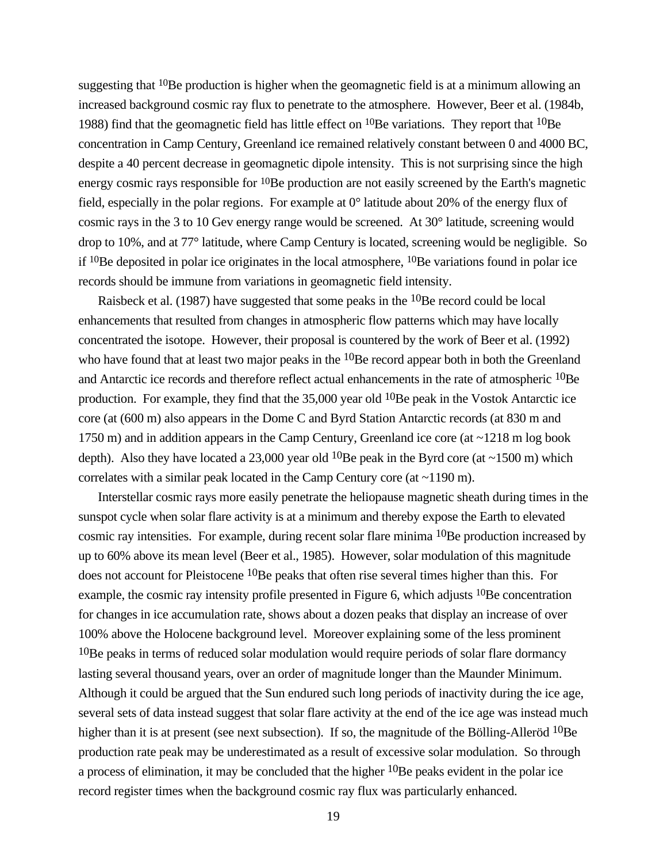suggesting that <sup>10</sup>Be production is higher when the geomagnetic field is at a minimum allowing an increased background cosmic ray flux to penetrate to the atmosphere. However, Beer et al. (1984b, 1988) find that the geomagnetic field has little effect on  $^{10}$ Be variations. They report that  $^{10}$ Be concentration in Camp Century, Greenland ice remained relatively constant between 0 and 4000 BC, despite a 40 percent decrease in geomagnetic dipole intensity. This is not surprising since the high energy cosmic rays responsible for <sup>10</sup>Be production are not easily screened by the Earth's magnetic field, especially in the polar regions. For example at 0° latitude about 20% of the energy flux of cosmic rays in the 3 to 10 Gev energy range would be screened. At 30° latitude, screening would drop to 10%, and at 77° latitude, where Camp Century is located, screening would be negligible. So if  $10$ Be deposited in polar ice originates in the local atmosphere,  $10$ Be variations found in polar ice records should be immune from variations in geomagnetic field intensity.

Raisbeck et al. (1987) have suggested that some peaks in the  $^{10}$ Be record could be local enhancements that resulted from changes in atmospheric flow patterns which may have locally concentrated the isotope. However, their proposal is countered by the work of Beer et al. (1992) who have found that at least two major peaks in the <sup>10</sup>Be record appear both in both the Greenland and Antarctic ice records and therefore reflect actual enhancements in the rate of atmospheric 10Be production. For example, they find that the 35,000 year old <sup>10</sup>Be peak in the Vostok Antarctic ice core (at (600 m) also appears in the Dome C and Byrd Station Antarctic records (at 830 m and 1750 m) and in addition appears in the Camp Century, Greenland ice core (at ~1218 m log book depth). Also they have located a 23,000 year old <sup>10</sup>Be peak in the Byrd core (at  $\sim$ 1500 m) which correlates with a similar peak located in the Camp Century core (at ~1190 m).

Interstellar cosmic rays more easily penetrate the heliopause magnetic sheath during times in the sunspot cycle when solar flare activity is at a minimum and thereby expose the Earth to elevated cosmic ray intensities. For example, during recent solar flare minima 10Be production increased by up to 60% above its mean level (Beer et al., 1985). However, solar modulation of this magnitude does not account for Pleistocene <sup>10</sup>Be peaks that often rise several times higher than this. For example, the cosmic ray intensity profile presented in Figure 6, which adjusts <sup>10</sup>Be concentration for changes in ice accumulation rate, shows about a dozen peaks that display an increase of over 100% above the Holocene background level. Moreover explaining some of the less prominent <sup>10</sup>Be peaks in terms of reduced solar modulation would require periods of solar flare dormancy lasting several thousand years, over an order of magnitude longer than the Maunder Minimum. Although it could be argued that the Sun endured such long periods of inactivity during the ice age, several sets of data instead suggest that solar flare activity at the end of the ice age was instead much higher than it is at present (see next subsection). If so, the magnitude of the Bölling-Alleröd <sup>10</sup>Be production rate peak may be underestimated as a result of excessive solar modulation. So through a process of elimination, it may be concluded that the higher  $10Be$  peaks evident in the polar ice record register times when the background cosmic ray flux was particularly enhanced.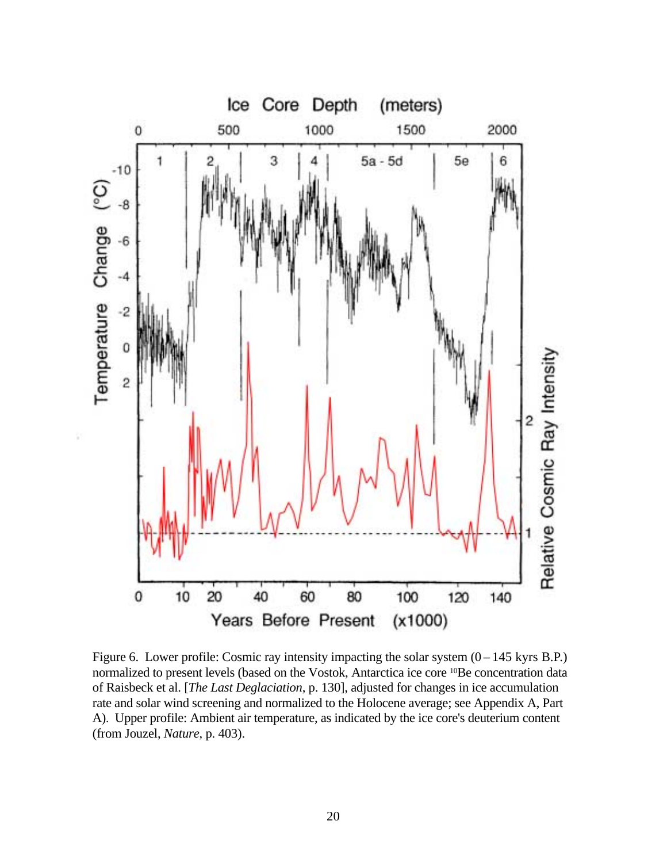

Figure 6. Lower profile: Cosmic ray intensity impacting the solar system  $(0 - 145 \text{ kyrs } B.P.)$ normalized to present levels (based on the Vostok, Antarctica ice core 10Be concentration data of Raisbeck et al. [*The Last Deglaciation*, p. 130], adjusted for changes in ice accumulation rate and solar wind screening and normalized to the Holocene average; see Appendix A, Part A). Upper profile: Ambient air temperature, as indicated by the ice core's deuterium content (from Jouzel, *Nature*, p. 403).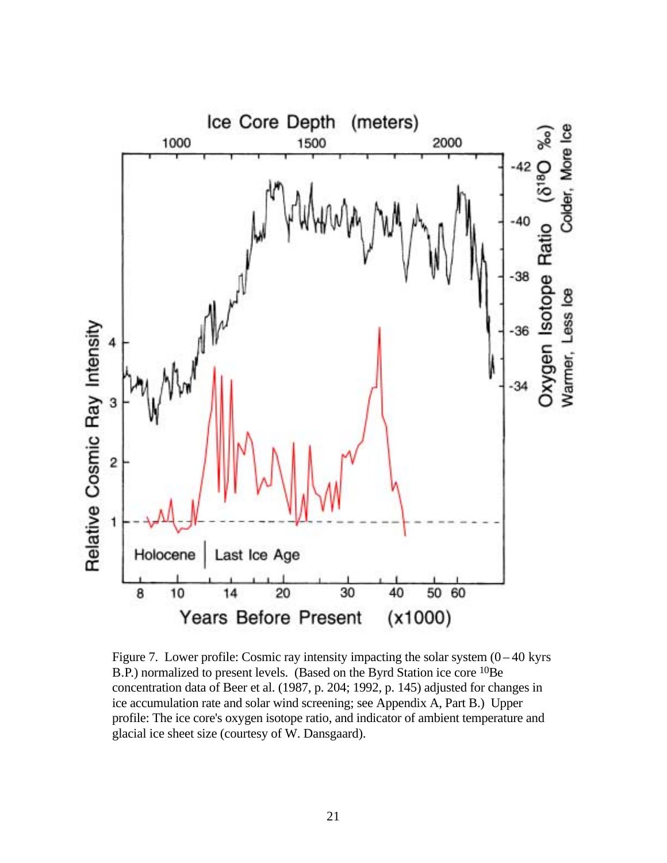

Figure 7. Lower profile: Cosmic ray intensity impacting the solar system  $(0-40 \text{ kyrs})$ B.P.) normalized to present levels. (Based on the Byrd Station ice core 10Be concentration data of Beer et al. (1987, p. 204; 1992, p. 145) adjusted for changes in ice accumulation rate and solar wind screening; see Appendix A, Part B.) Upper profile: The ice core's oxygen isotope ratio, and indicator of ambient temperature and glacial ice sheet size (courtesy of W. Dansgaard).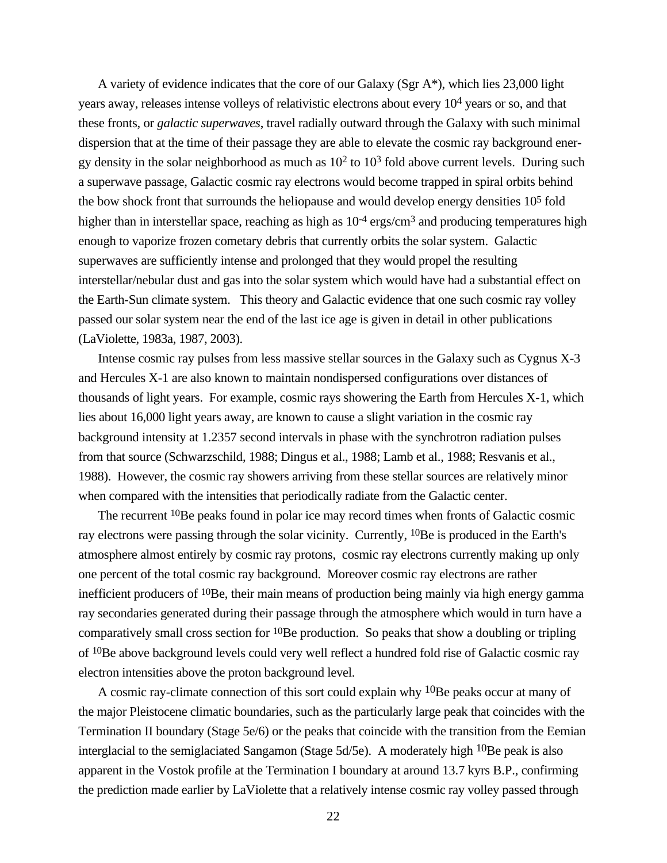A variety of evidence indicates that the core of our Galaxy (Sgr A\*), which lies 23,000 light years away, releases intense volleys of relativistic electrons about every  $10<sup>4</sup>$  years or so, and that these fronts, or *galactic superwaves*, travel radially outward through the Galaxy with such minimal dispersion that at the time of their passage they are able to elevate the cosmic ray background energy density in the solar neighborhood as much as  $10^2$  to  $10^3$  fold above current levels. During such a superwave passage, Galactic cosmic ray electrons would become trapped in spiral orbits behind the bow shock front that surrounds the heliopause and would develop energy densities 105 fold higher than in interstellar space, reaching as high as  $10^{-4}$  ergs/cm<sup>3</sup> and producing temperatures high enough to vaporize frozen cometary debris that currently orbits the solar system. Galactic superwaves are sufficiently intense and prolonged that they would propel the resulting interstellar/nebular dust and gas into the solar system which would have had a substantial effect on the Earth-Sun climate system. This theory and Galactic evidence that one such cosmic ray volley passed our solar system near the end of the last ice age is given in detail in other publications (LaViolette, 1983a, 1987, 2003).

Intense cosmic ray pulses from less massive stellar sources in the Galaxy such as Cygnus X-3 and Hercules X-1 are also known to maintain nondispersed configurations over distances of thousands of light years. For example, cosmic rays showering the Earth from Hercules X-1, which lies about 16,000 light years away, are known to cause a slight variation in the cosmic ray background intensity at 1.2357 second intervals in phase with the synchrotron radiation pulses from that source (Schwarzschild, 1988; Dingus et al., 1988; Lamb et al., 1988; Resvanis et al., 1988). However, the cosmic ray showers arriving from these stellar sources are relatively minor when compared with the intensities that periodically radiate from the Galactic center.

The recurrent <sup>10</sup>Be peaks found in polar ice may record times when fronts of Galactic cosmic ray electrons were passing through the solar vicinity. Currently, 10Be is produced in the Earth's atmosphere almost entirely by cosmic ray protons, cosmic ray electrons currently making up only one percent of the total cosmic ray background. Moreover cosmic ray electrons are rather inefficient producers of  $10Be$ , their main means of production being mainly via high energy gamma ray secondaries generated during their passage through the atmosphere which would in turn have a comparatively small cross section for 10Be production. So peaks that show a doubling or tripling of 10Be above background levels could very well reflect a hundred fold rise of Galactic cosmic ray electron intensities above the proton background level.

A cosmic ray-climate connection of this sort could explain why  $10Be$  peaks occur at many of the major Pleistocene climatic boundaries, such as the particularly large peak that coincides with the Termination II boundary (Stage 5e/6) or the peaks that coincide with the transition from the Eemian interglacial to the semiglaciated Sangamon (Stage  $5d/5e$ ). A moderately high <sup>10</sup>Be peak is also apparent in the Vostok profile at the Termination I boundary at around 13.7 kyrs B.P., confirming the prediction made earlier by LaViolette that a relatively intense cosmic ray volley passed through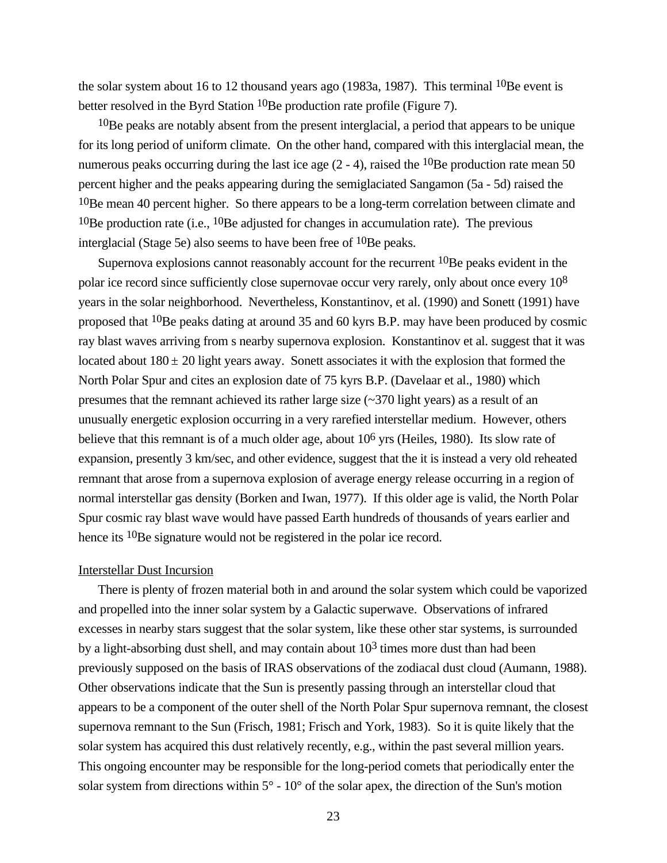the solar system about 16 to 12 thousand years ago (1983a, 1987). This terminal  $10Be$  event is better resolved in the Byrd Station <sup>10</sup>Be production rate profile (Figure 7).

<sup>10</sup>Be peaks are notably absent from the present interglacial, a period that appears to be unique for its long period of uniform climate. On the other hand, compared with this interglacial mean, the numerous peaks occurring during the last ice age  $(2 - 4)$ , raised the <sup>10</sup>Be production rate mean 50 percent higher and the peaks appearing during the semiglaciated Sangamon (5a - 5d) raised the <sup>10</sup>Be mean 40 percent higher. So there appears to be a long-term correlation between climate and <sup>10</sup>Be production rate (i.e., <sup>10</sup>Be adjusted for changes in accumulation rate). The previous interglacial (Stage 5e) also seems to have been free of  $^{10}$ Be peaks.

Supernova explosions cannot reasonably account for the recurrent <sup>10</sup>Be peaks evident in the polar ice record since sufficiently close supernovae occur very rarely, only about once every 108 years in the solar neighborhood. Nevertheless, Konstantinov, et al. (1990) and Sonett (1991) have proposed that 10Be peaks dating at around 35 and 60 kyrs B.P. may have been produced by cosmic ray blast waves arriving from s nearby supernova explosion. Konstantinov et al. suggest that it was located about  $180 \pm 20$  light years away. Sonett associates it with the explosion that formed the North Polar Spur and cites an explosion date of 75 kyrs B.P. (Davelaar et al., 1980) which presumes that the remnant achieved its rather large size (~370 light years) as a result of an unusually energetic explosion occurring in a very rarefied interstellar medium. However, others believe that this remnant is of a much older age, about 10<sup>6</sup> yrs (Heiles, 1980). Its slow rate of expansion, presently 3 km/sec, and other evidence, suggest that the it is instead a very old reheated remnant that arose from a supernova explosion of average energy release occurring in a region of normal interstellar gas density (Borken and Iwan, 1977). If this older age is valid, the North Polar Spur cosmic ray blast wave would have passed Earth hundreds of thousands of years earlier and hence its <sup>10</sup>Be signature would not be registered in the polar ice record.

#### Interstellar Dust Incursion

There is plenty of frozen material both in and around the solar system which could be vaporized and propelled into the inner solar system by a Galactic superwave. Observations of infrared excesses in nearby stars suggest that the solar system, like these other star systems, is surrounded by a light-absorbing dust shell, and may contain about  $10<sup>3</sup>$  times more dust than had been previously supposed on the basis of IRAS observations of the zodiacal dust cloud (Aumann, 1988). Other observations indicate that the Sun is presently passing through an interstellar cloud that appears to be a component of the outer shell of the North Polar Spur supernova remnant, the closest supernova remnant to the Sun (Frisch, 1981; Frisch and York, 1983). So it is quite likely that the solar system has acquired this dust relatively recently, e.g., within the past several million years. This ongoing encounter may be responsible for the long-period comets that periodically enter the solar system from directions within  $5^{\circ}$  - 10° of the solar apex, the direction of the Sun's motion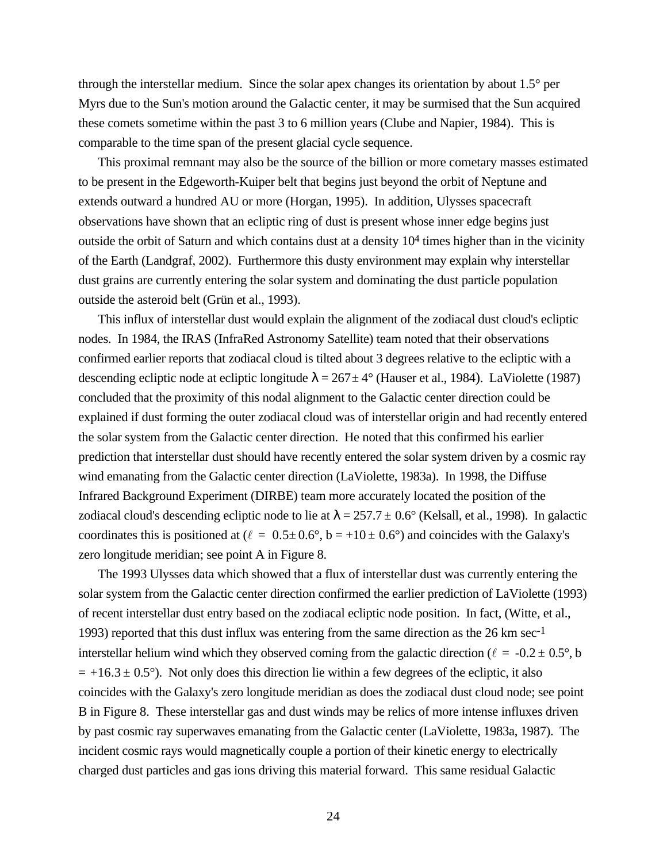through the interstellar medium. Since the solar apex changes its orientation by about 1.5° per Myrs due to the Sun's motion around the Galactic center, it may be surmised that the Sun acquired these comets sometime within the past 3 to 6 million years (Clube and Napier, 1984). This is comparable to the time span of the present glacial cycle sequence.

This proximal remnant may also be the source of the billion or more cometary masses estimated to be present in the Edgeworth-Kuiper belt that begins just beyond the orbit of Neptune and extends outward a hundred AU or more (Horgan, 1995). In addition, Ulysses spacecraft observations have shown that an ecliptic ring of dust is present whose inner edge begins just outside the orbit of Saturn and which contains dust at a density  $10<sup>4</sup>$  times higher than in the vicinity of the Earth (Landgraf, 2002). Furthermore this dusty environment may explain why interstellar dust grains are currently entering the solar system and dominating the dust particle population outside the asteroid belt (Grün et al., 1993).

This influx of interstellar dust would explain the alignment of the zodiacal dust cloud's ecliptic nodes. In 1984, the IRAS (InfraRed Astronomy Satellite) team noted that their observations confirmed earlier reports that zodiacal cloud is tilted about 3 degrees relative to the ecliptic with a descending ecliptic node at ecliptic longitude  $\lambda = 267 \pm 4^{\circ}$  (Hauser et al., 1984). LaViolette (1987) concluded that the proximity of this nodal alignment to the Galactic center direction could be explained if dust forming the outer zodiacal cloud was of interstellar origin and had recently entered the solar system from the Galactic center direction. He noted that this confirmed his earlier prediction that interstellar dust should have recently entered the solar system driven by a cosmic ray wind emanating from the Galactic center direction (LaViolette, 1983a). In 1998, the Diffuse Infrared Background Experiment (DIRBE) team more accurately located the position of the zodiacal cloud's descending ecliptic node to lie at  $\lambda = 257.7 \pm 0.6^{\circ}$  (Kelsall, et al., 1998). In galactic coordinates this is positioned at ( $\ell = 0.5 \pm 0.6^{\circ}$ ,  $b = +10 \pm 0.6^{\circ}$ ) and coincides with the Galaxy's zero longitude meridian; see point A in Figure 8.

The 1993 Ulysses data which showed that a flux of interstellar dust was currently entering the solar system from the Galactic center direction confirmed the earlier prediction of LaViolette (1993) of recent interstellar dust entry based on the zodiacal ecliptic node position. In fact, (Witte, et al., 1993) reported that this dust influx was entering from the same direction as the 26 km sec-1 interstellar helium wind which they observed coming from the galactic direction ( $\ell = -0.2 \pm 0.5^{\circ}$ , b  $= +16.3 \pm 0.5^{\circ}$ ). Not only does this direction lie within a few degrees of the ecliptic, it also coincides with the Galaxy's zero longitude meridian as does the zodiacal dust cloud node; see point B in Figure 8. These interstellar gas and dust winds may be relics of more intense influxes driven by past cosmic ray superwaves emanating from the Galactic center (LaViolette, 1983a, 1987). The incident cosmic rays would magnetically couple a portion of their kinetic energy to electrically charged dust particles and gas ions driving this material forward. This same residual Galactic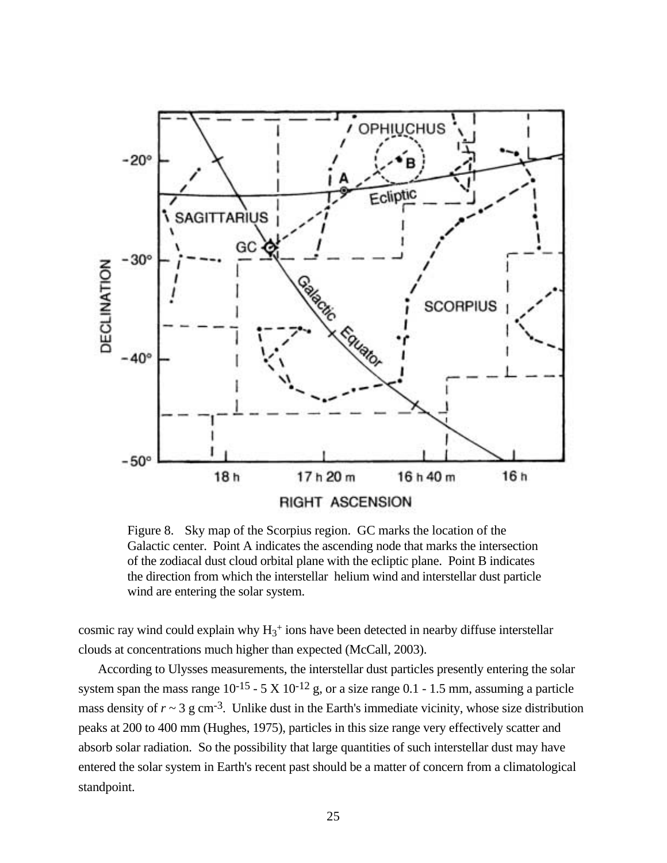

Figure 8. Sky map of the Scorpius region. GC marks the location of the Galactic center. Point A indicates the ascending node that marks the intersection of the zodiacal dust cloud orbital plane with the ecliptic plane. Point B indicates the direction from which the interstellar helium wind and interstellar dust particle wind are entering the solar system.

cosmic ray wind could explain why  $H_3^+$  ions have been detected in nearby diffuse interstellar clouds at concentrations much higher than expected (McCall, 2003).

According to Ulysses measurements, the interstellar dust particles presently entering the solar system span the mass range  $10^{-15}$  - 5 X  $10^{-12}$  g, or a size range 0.1 - 1.5 mm, assuming a particle mass density of  $r \sim 3$  g cm<sup>-3</sup>. Unlike dust in the Earth's immediate vicinity, whose size distribution peaks at 200 to 400 mm (Hughes, 1975), particles in this size range very effectively scatter and absorb solar radiation. So the possibility that large quantities of such interstellar dust may have entered the solar system in Earth's recent past should be a matter of concern from a climatological standpoint.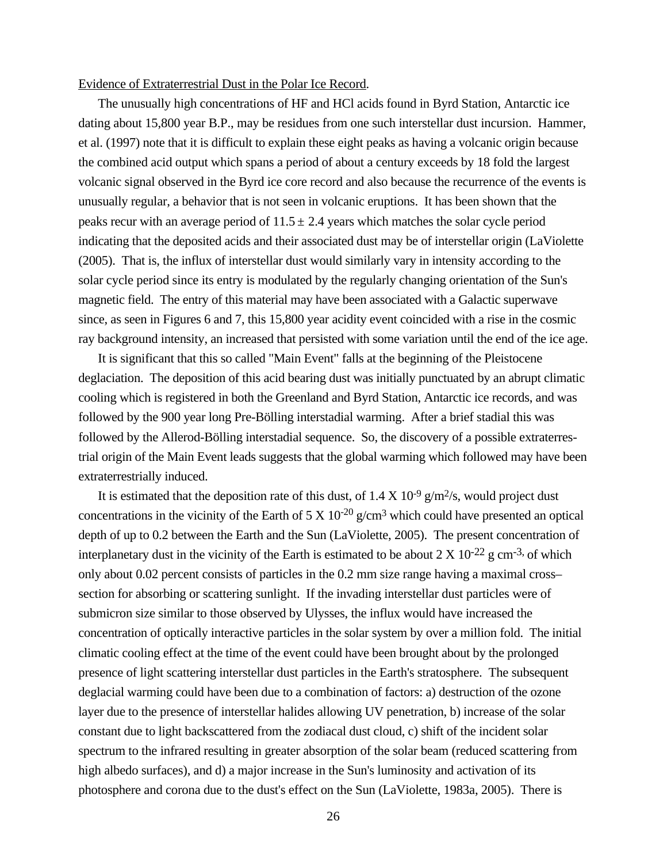## Evidence of Extraterrestrial Dust in the Polar Ice Record.

The unusually high concentrations of HF and HCl acids found in Byrd Station, Antarctic ice dating about 15,800 year B.P., may be residues from one such interstellar dust incursion. Hammer, et al. (1997) note that it is difficult to explain these eight peaks as having a volcanic origin because the combined acid output which spans a period of about a century exceeds by 18 fold the largest volcanic signal observed in the Byrd ice core record and also because the recurrence of the events is unusually regular, a behavior that is not seen in volcanic eruptions. It has been shown that the peaks recur with an average period of  $11.5 \pm 2.4$  years which matches the solar cycle period indicating that the deposited acids and their associated dust may be of interstellar origin (LaViolette (2005). That is, the influx of interstellar dust would similarly vary in intensity according to the solar cycle period since its entry is modulated by the regularly changing orientation of the Sun's magnetic field. The entry of this material may have been associated with a Galactic superwave since, as seen in Figures 6 and 7, this 15,800 year acidity event coincided with a rise in the cosmic ray background intensity, an increased that persisted with some variation until the end of the ice age.

It is significant that this so called "Main Event" falls at the beginning of the Pleistocene deglaciation. The deposition of this acid bearing dust was initially punctuated by an abrupt climatic cooling which is registered in both the Greenland and Byrd Station, Antarctic ice records, and was followed by the 900 year long Pre-Bölling interstadial warming. After a brief stadial this was followed by the Allerod-Bölling interstadial sequence. So, the discovery of a possible extraterrestrial origin of the Main Event leads suggests that the global warming which followed may have been extraterrestrially induced.

It is estimated that the deposition rate of this dust, of  $1.4 \text{ X } 10^{-9} \text{ g/m}^2/\text{s}$ , would project dust concentrations in the vicinity of the Earth of 5 X  $10^{-20}$  g/cm<sup>3</sup> which could have presented an optical depth of up to 0.2 between the Earth and the Sun (LaViolette, 2005). The present concentration of interplanetary dust in the vicinity of the Earth is estimated to be about  $2 \text{ X } 10^{-22} \text{ g cm}^{-3}$ , of which only about 0.02 percent consists of particles in the 0.2 mm size range having a maximal cross– section for absorbing or scattering sunlight. If the invading interstellar dust particles were of submicron size similar to those observed by Ulysses, the influx would have increased the concentration of optically interactive particles in the solar system by over a million fold. The initial climatic cooling effect at the time of the event could have been brought about by the prolonged presence of light scattering interstellar dust particles in the Earth's stratosphere. The subsequent deglacial warming could have been due to a combination of factors: a) destruction of the ozone layer due to the presence of interstellar halides allowing UV penetration, b) increase of the solar constant due to light backscattered from the zodiacal dust cloud, c) shift of the incident solar spectrum to the infrared resulting in greater absorption of the solar beam (reduced scattering from high albedo surfaces), and d) a major increase in the Sun's luminosity and activation of its photosphere and corona due to the dust's effect on the Sun (LaViolette, 1983a, 2005). There is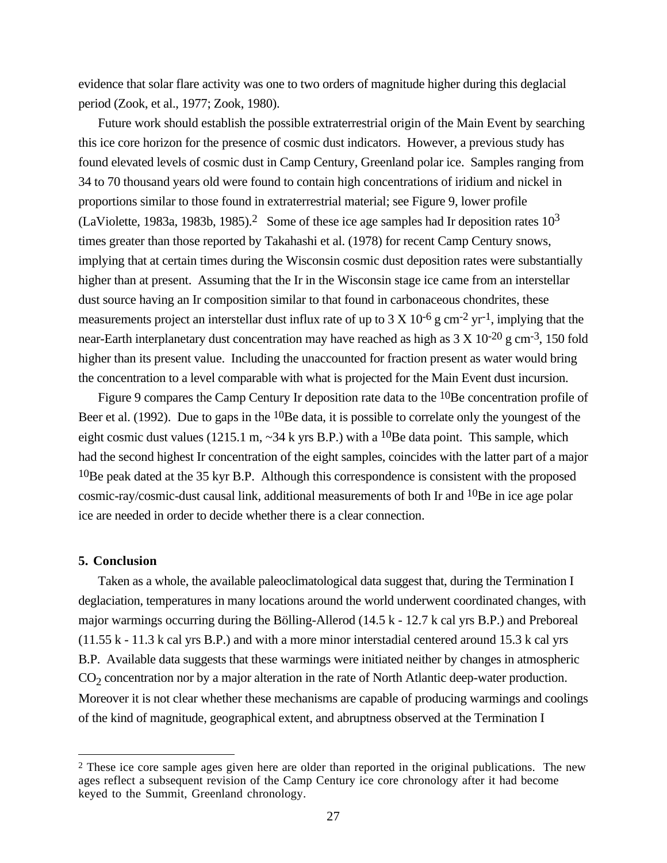evidence that solar flare activity was one to two orders of magnitude higher during this deglacial period (Zook, et al., 1977; Zook, 1980).

Future work should establish the possible extraterrestrial origin of the Main Event by searching this ice core horizon for the presence of cosmic dust indicators. However, a previous study has found elevated levels of cosmic dust in Camp Century, Greenland polar ice. Samples ranging from 34 to 70 thousand years old were found to contain high concentrations of iridium and nickel in proportions similar to those found in extraterrestrial material; see Figure 9, lower profile (LaViolette, 1983a, 1983b, 1985).<sup>2</sup> Some of these ice age samples had Ir deposition rates  $10^3$ times greater than those reported by Takahashi et al. (1978) for recent Camp Century snows, implying that at certain times during the Wisconsin cosmic dust deposition rates were substantially higher than at present. Assuming that the Ir in the Wisconsin stage ice came from an interstellar dust source having an Ir composition similar to that found in carbonaceous chondrites, these measurements project an interstellar dust influx rate of up to  $3 \times 10^{-6}$  g cm<sup>-2</sup> yr<sup>-1</sup>, implying that the near-Earth interplanetary dust concentration may have reached as high as  $3 \times 10^{-20}$  g cm<sup>-3</sup>, 150 fold higher than its present value. Including the unaccounted for fraction present as water would bring the concentration to a level comparable with what is projected for the Main Event dust incursion.

Figure 9 compares the Camp Century Ir deposition rate data to the <sup>10</sup>Be concentration profile of Beer et al. (1992). Due to gaps in the  $^{10}$ Be data, it is possible to correlate only the youngest of the eight cosmic dust values (1215.1 m,  $\sim$ 34 k yrs B.P.) with a <sup>10</sup>Be data point. This sample, which had the second highest Ir concentration of the eight samples, coincides with the latter part of a major  $10$ Be peak dated at the 35 kyr B.P. Although this correspondence is consistent with the proposed cosmic-ray/cosmic-dust causal link, additional measurements of both Ir and 10Be in ice age polar ice are needed in order to decide whether there is a clear connection.

# **5. Conclusion**

Taken as a whole, the available paleoclimatological data suggest that, during the Termination I deglaciation, temperatures in many locations around the world underwent coordinated changes, with major warmings occurring during the Bölling-Allerod (14.5 k - 12.7 k cal yrs B.P.) and Preboreal (11.55 k - 11.3 k cal yrs B.P.) and with a more minor interstadial centered around 15.3 k cal yrs B.P. Available data suggests that these warmings were initiated neither by changes in atmospheric  $CO<sub>2</sub>$  concentration nor by a major alteration in the rate of North Atlantic deep-water production. Moreover it is not clear whether these mechanisms are capable of producing warmings and coolings of the kind of magnitude, geographical extent, and abruptness observed at the Termination I

<sup>&</sup>lt;sup>2</sup> These ice core sample ages given here are older than reported in the original publications. The new ages reflect a subsequent revision of the Camp Century ice core chronology after it had become keyed to the Summit, Greenland chronology.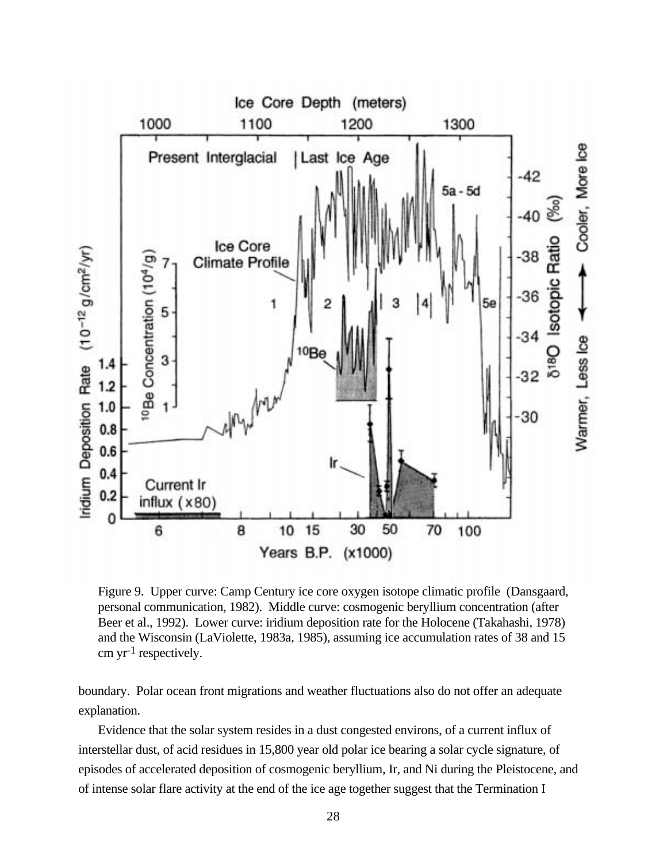

Figure 9. Upper curve: Camp Century ice core oxygen isotope climatic profile (Dansgaard, personal communication, 1982). Middle curve: cosmogenic beryllium concentration (after Beer et al., 1992). Lower curve: iridium deposition rate for the Holocene (Takahashi, 1978) and the Wisconsin (LaViolette, 1983a, 1985), assuming ice accumulation rates of 38 and 15 cm  $yr^{-1}$  respectively.

boundary. Polar ocean front migrations and weather fluctuations also do not offer an adequate explanation.

Evidence that the solar system resides in a dust congested environs, of a current influx of interstellar dust, of acid residues in 15,800 year old polar ice bearing a solar cycle signature, of episodes of accelerated deposition of cosmogenic beryllium, Ir, and Ni during the Pleistocene, and of intense solar flare activity at the end of the ice age together suggest that the Termination I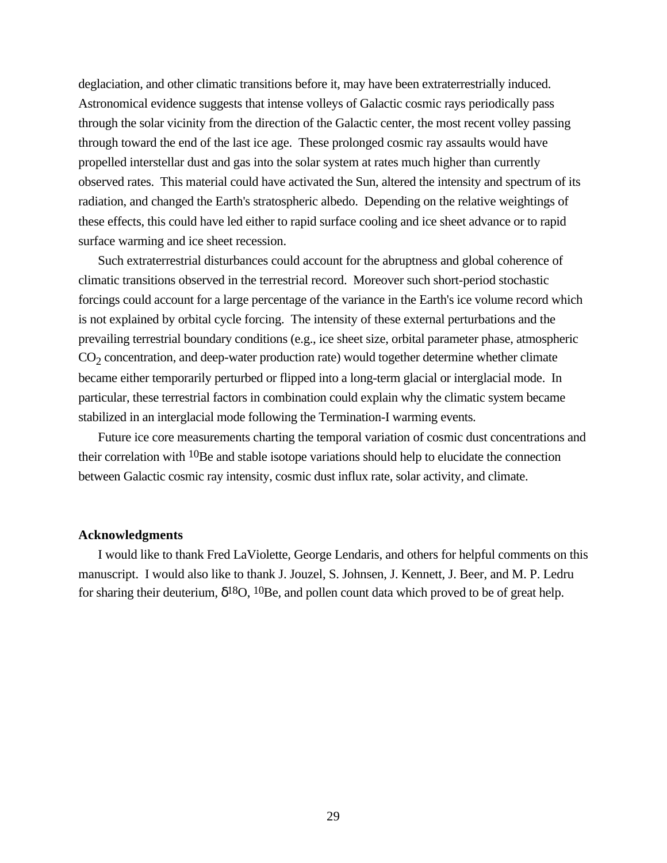deglaciation, and other climatic transitions before it, may have been extraterrestrially induced. Astronomical evidence suggests that intense volleys of Galactic cosmic rays periodically pass through the solar vicinity from the direction of the Galactic center, the most recent volley passing through toward the end of the last ice age. These prolonged cosmic ray assaults would have propelled interstellar dust and gas into the solar system at rates much higher than currently observed rates. This material could have activated the Sun, altered the intensity and spectrum of its radiation, and changed the Earth's stratospheric albedo. Depending on the relative weightings of these effects, this could have led either to rapid surface cooling and ice sheet advance or to rapid surface warming and ice sheet recession.

Such extraterrestrial disturbances could account for the abruptness and global coherence of climatic transitions observed in the terrestrial record. Moreover such short-period stochastic forcings could account for a large percentage of the variance in the Earth's ice volume record which is not explained by orbital cycle forcing. The intensity of these external perturbations and the prevailing terrestrial boundary conditions (e.g., ice sheet size, orbital parameter phase, atmospheric  $CO<sub>2</sub>$  concentration, and deep-water production rate) would together determine whether climate became either temporarily perturbed or flipped into a long-term glacial or interglacial mode. In particular, these terrestrial factors in combination could explain why the climatic system became stabilized in an interglacial mode following the Termination-I warming events.

Future ice core measurements charting the temporal variation of cosmic dust concentrations and their correlation with  $^{10}$ Be and stable isotope variations should help to elucidate the connection between Galactic cosmic ray intensity, cosmic dust influx rate, solar activity, and climate.

### **Acknowledgments**

I would like to thank Fred LaViolette, George Lendaris, and others for helpful comments on this manuscript. I would also like to thank J. Jouzel, S. Johnsen, J. Kennett, J. Beer, and M. P. Ledru for sharing their deuterium,  $\delta^{18}O$ ,  $^{10}Be$ , and pollen count data which proved to be of great help.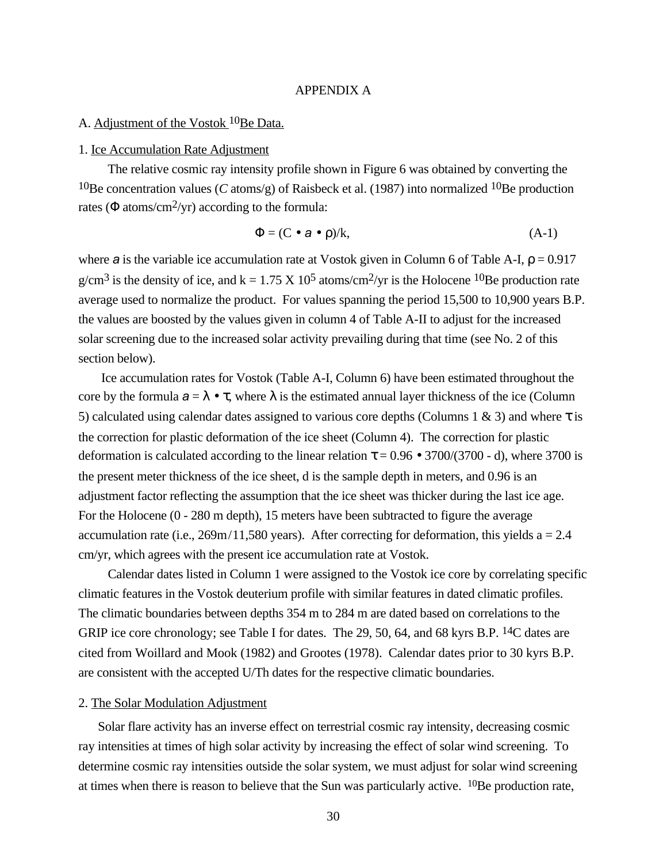# APPENDIX A

# A. Adjustment of the Vostok <sup>10</sup>Be Data.

## 1. Ice Accumulation Rate Adjustment

The relative cosmic ray intensity profile shown in Figure 6 was obtained by converting the <sup>10</sup>Be concentration values (*C* atoms/g) of Raisbeck et al. (1987) into normalized <sup>10</sup>Be production rates ( $\Phi$  atoms/cm<sup>2</sup>/yr) according to the formula:

$$
\Phi = (\mathbf{C} \bullet \mathbf{a} \bullet \mathbf{p})/\mathbf{k},\tag{A-1}
$$

where *a* is the variable ice accumulation rate at Vostok given in Column 6 of Table A-I,  $\rho = 0.917$ g/cm<sup>3</sup> is the density of ice, and k = 1.75 X 10<sup>5</sup> atoms/cm<sup>2</sup>/yr is the Holocene <sup>10</sup>Be production rate average used to normalize the product. For values spanning the period 15,500 to 10,900 years B.P. the values are boosted by the values given in column 4 of Table A-II to adjust for the increased solar screening due to the increased solar activity prevailing during that time (see No. 2 of this section below).

Ice accumulation rates for Vostok (Table A-I, Column 6) have been estimated throughout the core by the formula  $a = \lambda \bullet \tau$ , where  $\lambda$  is the estimated annual layer thickness of the ice (Column 5) calculated using calendar dates assigned to various core depths (Columns 1 & 3) and where  $\tau$  is the correction for plastic deformation of the ice sheet (Column 4). The correction for plastic deformation is calculated according to the linear relation  $\tau = 0.96 \cdot 3700/(3700 - d)$ , where 3700 is the present meter thickness of the ice sheet, d is the sample depth in meters, and 0.96 is an adjustment factor reflecting the assumption that the ice sheet was thicker during the last ice age. For the Holocene (0 - 280 m depth), 15 meters have been subtracted to figure the average accumulation rate (i.e.,  $269m/11,580$  years). After correcting for deformation, this yields a = 2.4 cm/yr, which agrees with the present ice accumulation rate at Vostok.

Calendar dates listed in Column 1 were assigned to the Vostok ice core by correlating specific climatic features in the Vostok deuterium profile with similar features in dated climatic profiles. The climatic boundaries between depths 354 m to 284 m are dated based on correlations to the GRIP ice core chronology; see Table I for dates. The 29, 50, 64, and 68 kyrs B.P. <sup>14</sup>C dates are cited from Woillard and Mook (1982) and Grootes (1978). Calendar dates prior to 30 kyrs B.P. are consistent with the accepted U/Th dates for the respective climatic boundaries.

## 2. The Solar Modulation Adjustment

Solar flare activity has an inverse effect on terrestrial cosmic ray intensity, decreasing cosmic ray intensities at times of high solar activity by increasing the effect of solar wind screening. To determine cosmic ray intensities outside the solar system, we must adjust for solar wind screening at times when there is reason to believe that the Sun was particularly active. 10Be production rate,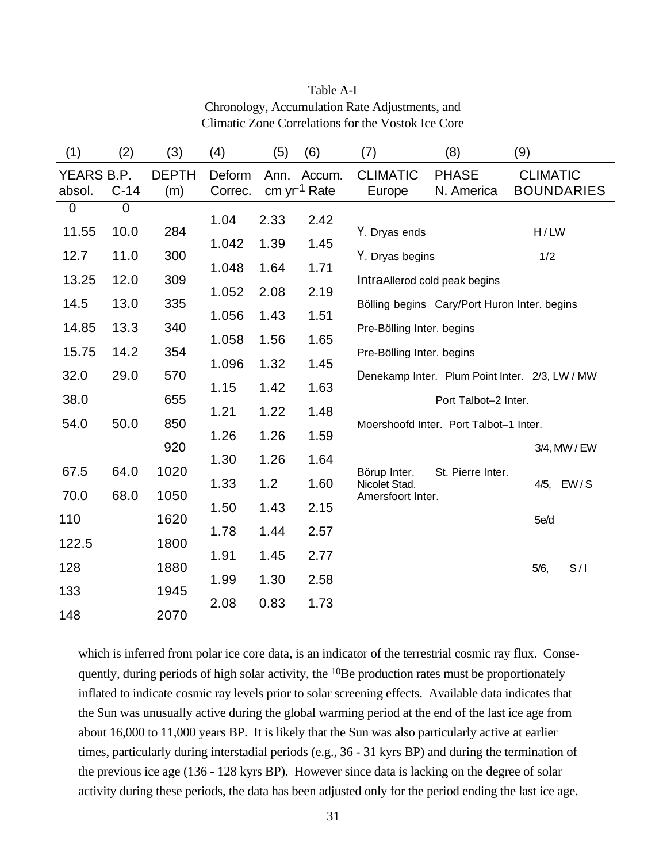| (2)                  | (3)                                  | (4)                                                     | (5)                                                                                      | (6)                                                                                 | (7)                                                                                                              | (8)                        | (9)                                                                                                                                                                                                                                                                                                 |
|----------------------|--------------------------------------|---------------------------------------------------------|------------------------------------------------------------------------------------------|-------------------------------------------------------------------------------------|------------------------------------------------------------------------------------------------------------------|----------------------------|-----------------------------------------------------------------------------------------------------------------------------------------------------------------------------------------------------------------------------------------------------------------------------------------------------|
| YEARS B.P.<br>$C-14$ | <b>DEPTH</b><br>(m)                  | Deform<br>Correc.                                       | Ann.                                                                                     | Accum.                                                                              | <b>CLIMATIC</b><br>Europe                                                                                        | <b>PHASE</b><br>N. America | <b>CLIMATIC</b><br><b>BOUNDARIES</b>                                                                                                                                                                                                                                                                |
| $\overline{0}$       |                                      |                                                         |                                                                                          |                                                                                     |                                                                                                                  |                            |                                                                                                                                                                                                                                                                                                     |
| 10.0                 | 284                                  |                                                         |                                                                                          |                                                                                     | Y. Dryas ends                                                                                                    |                            | H/LW                                                                                                                                                                                                                                                                                                |
| 11.0                 | 300                                  |                                                         |                                                                                          |                                                                                     |                                                                                                                  |                            | 1/2                                                                                                                                                                                                                                                                                                 |
|                      |                                      | 1.048                                                   | 1.64                                                                                     | 1.71                                                                                |                                                                                                                  |                            |                                                                                                                                                                                                                                                                                                     |
|                      |                                      | 1.052                                                   | 2.08                                                                                     | 2.19                                                                                |                                                                                                                  |                            |                                                                                                                                                                                                                                                                                                     |
|                      |                                      |                                                         |                                                                                          |                                                                                     |                                                                                                                  |                            |                                                                                                                                                                                                                                                                                                     |
| 13.3                 | 340                                  |                                                         |                                                                                          |                                                                                     |                                                                                                                  |                            |                                                                                                                                                                                                                                                                                                     |
| 14.2                 | 354                                  |                                                         |                                                                                          |                                                                                     |                                                                                                                  |                            |                                                                                                                                                                                                                                                                                                     |
|                      |                                      |                                                         |                                                                                          |                                                                                     |                                                                                                                  |                            |                                                                                                                                                                                                                                                                                                     |
|                      |                                      | 1.15                                                    | 1.42                                                                                     | 1.63                                                                                |                                                                                                                  |                            |                                                                                                                                                                                                                                                                                                     |
|                      |                                      | 1.21                                                    | 1.22                                                                                     | 1.48                                                                                |                                                                                                                  |                            |                                                                                                                                                                                                                                                                                                     |
|                      |                                      |                                                         |                                                                                          |                                                                                     |                                                                                                                  |                            |                                                                                                                                                                                                                                                                                                     |
|                      | 920                                  |                                                         |                                                                                          |                                                                                     |                                                                                                                  |                            | 3/4, MW / EW                                                                                                                                                                                                                                                                                        |
| 64.0                 | 1020                                 |                                                         |                                                                                          |                                                                                     | Börup Inter.                                                                                                     | St. Pierre Inter.          |                                                                                                                                                                                                                                                                                                     |
|                      |                                      |                                                         |                                                                                          |                                                                                     |                                                                                                                  |                            | 4/5, EW/S                                                                                                                                                                                                                                                                                           |
|                      |                                      | 1.50                                                    | 1.43                                                                                     | 2.15                                                                                |                                                                                                                  |                            | 5e/d                                                                                                                                                                                                                                                                                                |
|                      |                                      | 1.78                                                    | 1.44                                                                                     | 2.57                                                                                |                                                                                                                  |                            |                                                                                                                                                                                                                                                                                                     |
|                      |                                      |                                                         |                                                                                          |                                                                                     |                                                                                                                  |                            |                                                                                                                                                                                                                                                                                                     |
|                      | 1880                                 |                                                         |                                                                                          |                                                                                     |                                                                                                                  |                            | S/I<br>5/6,                                                                                                                                                                                                                                                                                         |
|                      | 1945                                 |                                                         |                                                                                          |                                                                                     |                                                                                                                  |                            |                                                                                                                                                                                                                                                                                                     |
|                      | 2070                                 |                                                         |                                                                                          |                                                                                     |                                                                                                                  |                            |                                                                                                                                                                                                                                                                                                     |
|                      | 12.0<br>13.0<br>29.0<br>50.0<br>68.0 | 309<br>335<br>570<br>655<br>850<br>1050<br>1620<br>1800 | 1.04<br>1.042<br>1.056<br>1.058<br>1.096<br>1.26<br>1.30<br>1.33<br>1.91<br>1.99<br>2.08 | 2.33<br>1.39<br>1.43<br>1.56<br>1.32<br>1.26<br>1.26<br>1.2<br>1.45<br>1.30<br>0.83 | cm yr <sup>-1</sup> Rate<br>2.42<br>1.45<br>1.51<br>1.65<br>1.45<br>1.59<br>1.64<br>1.60<br>2.77<br>2.58<br>1.73 | Nicolet Stad.              | Y. Dryas begins<br>IntraAllerod cold peak begins<br>Bölling begins Cary/Port Huron Inter. begins<br>Pre-Bölling Inter. begins<br>Pre-Bölling Inter. begins<br>Denekamp Inter. Plum Point Inter. 2/3, LW / MW<br>Port Talbot-2 Inter.<br>Moershoofd Inter. Port Talbot-1 Inter.<br>Amersfoort Inter. |

Table A-I Chronology, Accumulation Rate Adjustments, and Climatic Zone Correlations for the Vostok Ice Core

which is inferred from polar ice core data, is an indicator of the terrestrial cosmic ray flux. Consequently, during periods of high solar activity, the 10Be production rates must be proportionately inflated to indicate cosmic ray levels prior to solar screening effects. Available data indicates that the Sun was unusually active during the global warming period at the end of the last ice age from about 16,000 to 11,000 years BP. It is likely that the Sun was also particularly active at earlier times, particularly during interstadial periods (e.g., 36 - 31 kyrs BP) and during the termination of the previous ice age (136 - 128 kyrs BP). However since data is lacking on the degree of solar activity during these periods, the data has been adjusted only for the period ending the last ice age.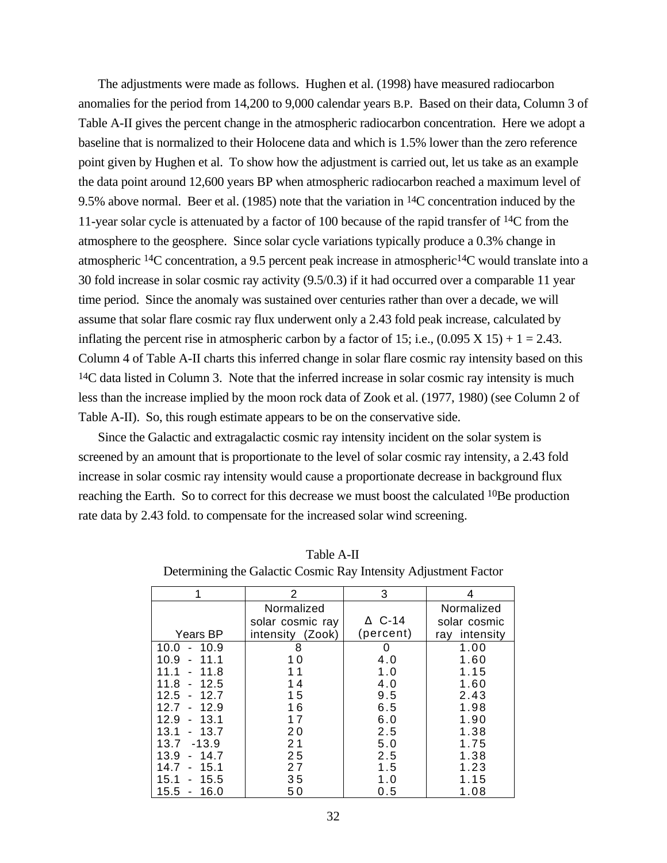The adjustments were made as follows. Hughen et al. (1998) have measured radiocarbon anomalies for the period from 14,200 to 9,000 calendar years B.P. Based on their data, Column 3 of Table A-II gives the percent change in the atmospheric radiocarbon concentration. Here we adopt a baseline that is normalized to their Holocene data and which is 1.5% lower than the zero reference point given by Hughen et al. To show how the adjustment is carried out, let us take as an example the data point around 12,600 years BP when atmospheric radiocarbon reached a maximum level of 9.5% above normal. Beer et al. (1985) note that the variation in 14C concentration induced by the 11-year solar cycle is attenuated by a factor of 100 because of the rapid transfer of 14C from the atmosphere to the geosphere. Since solar cycle variations typically produce a 0.3% change in atmospheric  $^{14}C$  concentration, a 9.5 percent peak increase in atmospheric $^{14}C$  would translate into a 30 fold increase in solar cosmic ray activity (9.5/0.3) if it had occurred over a comparable 11 year time period. Since the anomaly was sustained over centuries rather than over a decade, we will assume that solar flare cosmic ray flux underwent only a 2.43 fold peak increase, calculated by inflating the percent rise in atmospheric carbon by a factor of 15; i.e.,  $(0.095 \text{ X } 15) + 1 = 2.43$ . Column 4 of Table A-II charts this inferred change in solar flare cosmic ray intensity based on this <sup>14</sup>C data listed in Column 3. Note that the inferred increase in solar cosmic ray intensity is much less than the increase implied by the moon rock data of Zook et al. (1977, 1980) (see Column 2 of Table A-II). So, this rough estimate appears to be on the conservative side.

Since the Galactic and extragalactic cosmic ray intensity incident on the solar system is screened by an amount that is proportionate to the level of solar cosmic ray intensity, a 2.43 fold increase in solar cosmic ray intensity would cause a proportionate decrease in background flux reaching the Earth. So to correct for this decrease we must boost the calculated <sup>10</sup>Be production rate data by 2.43 fold. to compensate for the increased solar wind screening.

| 2<br>1                         |                     | 3                | 4             |  |
|--------------------------------|---------------------|------------------|---------------|--|
|                                | Normalized          |                  | Normalized    |  |
|                                | solar cosmic ray    | $\triangle$ C-14 | solar cosmic  |  |
| Years BP                       | intensity<br>(Zook) | (percent)        | ray intensity |  |
| 10.9<br>10.0                   | 8                   | 0                | 1.00          |  |
| 11.1<br>10.9                   | 10                  | 4.0              | 1.60          |  |
| 11.8<br>11.1                   | 11                  | 1.0              | 1.15          |  |
| 11.8<br>12.5                   | 14                  | 4.0              | 1.60          |  |
| 12.5<br>12.7                   | 15                  | 9.5              | 2.43          |  |
| 12.9<br>12.7                   | 16                  | 6.5              | 1.98          |  |
| 12.9<br>13.1<br>$\blacksquare$ | 17                  | 6.0              | 1.90          |  |
| 13.1<br>- 13.7                 | 20                  | 2.5              | 1.38          |  |
| $-13.9$<br>13.7                | 21                  | 5.0              | 1.75          |  |
| 14.7<br>13.9                   | 25                  | 2.5              | 1.38          |  |
| 15.1<br>14.7                   | 27                  | 1.5              | 1.23          |  |
| 15.5<br>15.1                   | 35                  | 1.0              | 1.15          |  |
| 15.5<br>16.0                   | 50                  | 0.5              | 1.08          |  |

Table A-II Determining the Galactic Cosmic Ray Intensity Adjustment Factor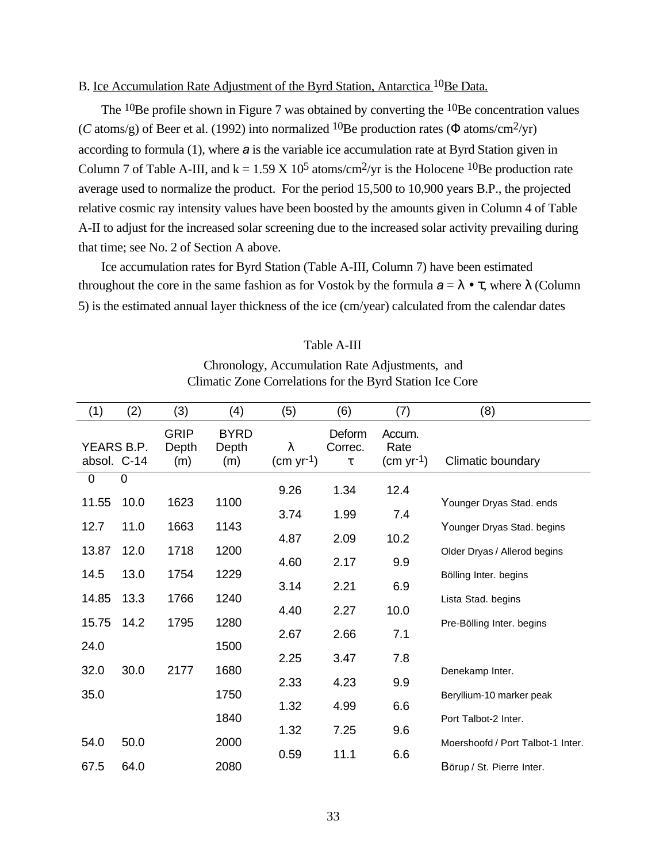# B. Ice Accumulation Rate Adjustment of the Byrd Station, Antarctica <sup>10</sup>Be Data.

The <sup>10</sup>Be profile shown in Figure 7 was obtained by converting the <sup>10</sup>Be concentration values (*C* atoms/g) of Beer et al. (1992) into normalized <sup>10</sup>Be production rates ( $\Phi$  atoms/cm<sup>2</sup>/yr) according to formula (1), where *a* is the variable ice accumulation rate at Byrd Station given in Column 7 of Table A-III, and  $k = 1.59 \text{ X } 10^5$  atoms/cm<sup>2</sup>/yr is the Holocene <sup>10</sup>Be production rate average used to normalize the product. For the period 15,500 to 10,900 years B.P., the projected relative cosmic ray intensity values have been boosted by the amounts given in Column 4 of Table A-II to adjust for the increased solar screening due to the increased solar activity prevailing during that time; see No. 2 of Section A above.

Ice accumulation rates for Byrd Station (Table A-III, Column 7) have been estimated throughout the core in the same fashion as for Vostok by the formula  $a = \lambda \bullet \tau$ , where  $\lambda$  (Column 5) is the estimated annual layer thickness of the ice (cm/year) calculated from the calendar dates

## Table A-III

Chronology, Accumulation Rate Adjustments, and Climatic Zone Correlations for the Byrd Station Ice Core

| (1)                       | (2)  | (3)                         | (4)                         | (5)                      | (6)                    | (7)                           | (8)                               |
|---------------------------|------|-----------------------------|-----------------------------|--------------------------|------------------------|-------------------------------|-----------------------------------|
| YEARS B.P.<br>absol. C-14 |      | <b>GRIP</b><br>Depth<br>(m) | <b>BYRD</b><br>Depth<br>(m) | $\lambda$<br>$(cm yr-1)$ | Deform<br>Correc.<br>τ | Accum.<br>Rate<br>$(cm yr-1)$ | Climatic boundary                 |
| 0                         | 0    |                             |                             | 9.26                     | 1.34                   | 12.4                          |                                   |
| 11.55                     | 10.0 | 1623                        | 1100                        |                          |                        |                               | Younger Dryas Stad. ends          |
| 12.7                      | 11.0 | 1663                        | 1143                        | 3.74                     | 1.99                   | 7.4                           | Younger Dryas Stad. begins        |
| 13.87                     | 12.0 | 1718                        | 1200                        | 4.87                     | 2.09                   | 10.2                          | Older Dryas / Allerod begins      |
| 14.5                      | 13.0 | 1754                        | 1229                        | 4.60                     | 2.17                   | 9.9                           |                                   |
|                           |      |                             |                             | 3.14                     | 2.21                   | 6.9                           | Bölling Inter. begins             |
| 14.85                     | 13.3 | 1766                        | 1240                        | 4.40                     | 2.27                   | 10.0                          | Lista Stad. begins                |
| 15.75                     | 14.2 | 1795                        | 1280                        | 2.67                     | 2.66                   | 7.1                           | Pre-Bölling Inter. begins         |
| 24.0                      |      |                             | 1500                        |                          |                        |                               |                                   |
| 32.0                      | 30.0 | 2177                        | 1680                        | 2.25                     | 3.47                   | 7.8                           | Denekamp Inter.                   |
| 35.0                      |      |                             | 1750                        | 2.33                     | 4.23                   | 9.9                           | Beryllium-10 marker peak          |
|                           |      |                             |                             | 1.32                     | 4.99                   | 6.6                           |                                   |
|                           |      |                             | 1840                        | 1.32                     | 7.25                   | 9.6                           | Port Talbot-2 Inter.              |
| 54.0                      | 50.0 |                             | 2000                        | 0.59                     | 11.1                   | 6.6                           | Moershoofd / Port Talbot-1 Inter. |
| 67.5                      | 64.0 |                             | 2080                        |                          |                        |                               | Börup / St. Pierre Inter.         |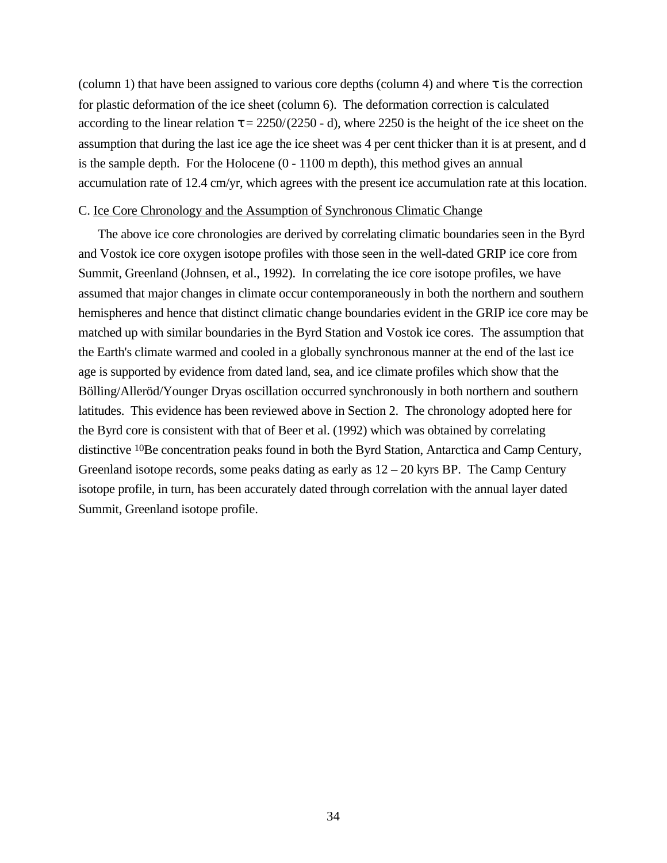(column 1) that have been assigned to various core depths (column 4) and where  $\tau$  is the correction for plastic deformation of the ice sheet (column 6). The deformation correction is calculated according to the linear relation  $\tau = 2250/(2250 - d)$ , where 2250 is the height of the ice sheet on the assumption that during the last ice age the ice sheet was 4 per cent thicker than it is at present, and d is the sample depth. For the Holocene (0 - 1100 m depth), this method gives an annual accumulation rate of 12.4 cm/yr, which agrees with the present ice accumulation rate at this location.

## C. Ice Core Chronology and the Assumption of Synchronous Climatic Change

The above ice core chronologies are derived by correlating climatic boundaries seen in the Byrd and Vostok ice core oxygen isotope profiles with those seen in the well-dated GRIP ice core from Summit, Greenland (Johnsen, et al., 1992). In correlating the ice core isotope profiles, we have assumed that major changes in climate occur contemporaneously in both the northern and southern hemispheres and hence that distinct climatic change boundaries evident in the GRIP ice core may be matched up with similar boundaries in the Byrd Station and Vostok ice cores. The assumption that the Earth's climate warmed and cooled in a globally synchronous manner at the end of the last ice age is supported by evidence from dated land, sea, and ice climate profiles which show that the Bölling/Alleröd/Younger Dryas oscillation occurred synchronously in both northern and southern latitudes. This evidence has been reviewed above in Section 2. The chronology adopted here for the Byrd core is consistent with that of Beer et al. (1992) which was obtained by correlating distinctive 10Be concentration peaks found in both the Byrd Station, Antarctica and Camp Century, Greenland isotope records, some peaks dating as early as  $12 - 20$  kyrs BP. The Camp Century isotope profile, in turn, has been accurately dated through correlation with the annual layer dated Summit, Greenland isotope profile.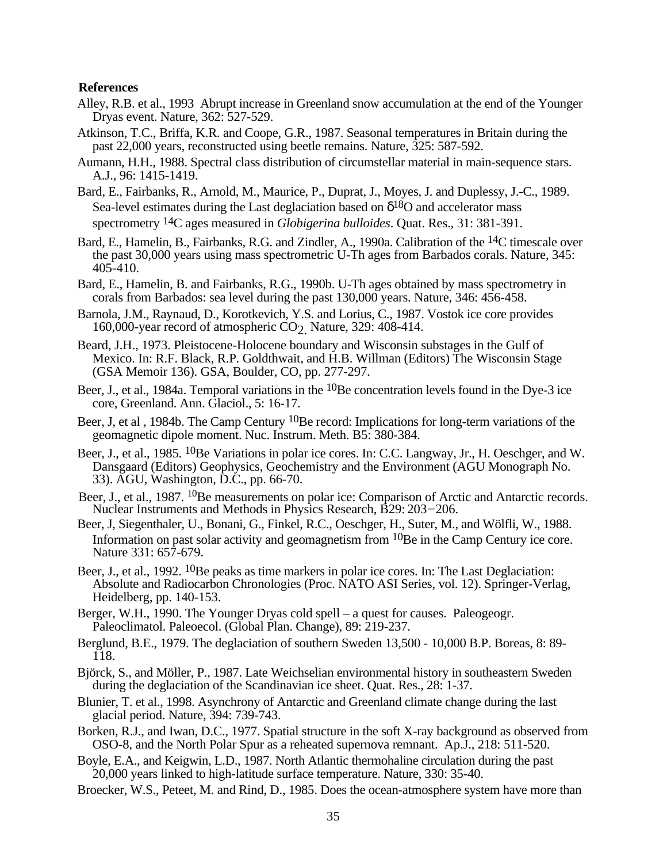## **References**

- Alley, R.B. et al., 1993 Abrupt increase in Greenland snow accumulation at the end of the Younger Dryas event. Nature, 362: 527-529.
- Atkinson, T.C., Briffa, K.R. and Coope, G.R., 1987. Seasonal temperatures in Britain during the past 22,000 years, reconstructed using beetle remains. Nature, 325: 587-592.
- Aumann, H.H., 1988. Spectral class distribution of circumstellar material in main-sequence stars. A.J., 96: 1415-1419.
- Bard, E., Fairbanks, R., Arnold, M., Maurice, P., Duprat, J., Moyes, J. and Duplessy, J.-C., 1989. Sea-level estimates during the Last deglaciation based on  $\delta^{18}O$  and accelerator mass spectrometry 14C ages measured in *Globigerina bulloides*. Quat. Res., 31: 381-391.
- Bard, E., Hamelin, B., Fairbanks, R.G. and Zindler, A., 1990a. Calibration of the 14C timescale over the past 30,000 years using mass spectrometric U-Th ages from Barbados corals. Nature, 345: 405-410.
- Bard, E., Hamelin, B. and Fairbanks, R.G., 1990b. U-Th ages obtained by mass spectrometry in corals from Barbados: sea level during the past 130,000 years. Nature, 346: 456-458.
- Barnola, J.M., Raynaud, D., Korotkevich, Y.S. and Lorius, C., 1987. Vostok ice core provides 160,000-year record of atmospheric  $CO<sub>2</sub>$ . Nature, 329: 408-414.
- Beard, J.H., 1973. Pleistocene-Holocene boundary and Wisconsin substages in the Gulf of Mexico. In: R.F. Black, R.P. Goldthwait, and H.B. Willman (Editors) The Wisconsin Stage (GSA Memoir 136). GSA, Boulder, CO, pp. 277-297.
- Beer, J., et al., 1984a. Temporal variations in the  $^{10}$ Be concentration levels found in the Dye-3 ice core, Greenland. Ann. Glaciol., 5: 16-17.
- Beer, J, et al, 1984b. The Camp Century <sup>10</sup>Be record: Implications for long-term variations of the geomagnetic dipole moment. Nuc. Instrum. Meth. B5: 380-384.
- Beer, J., et al., 1985. <sup>10</sup>Be Variations in polar ice cores. In: C.C. Langway, Jr., H. Oeschger, and W. Dansgaard (Editors) Geophysics, Geochemistry and the Environment (AGU Monograph No. 33). AGU, Washington, D.C., pp. 66-70.
- Beer, J., et al., 1987. <sup>10</sup>Be measurements on polar ice: Comparison of Arctic and Antarctic records. Nuclear Instruments and Methods in Physics Research, B29: 203–206.
- Beer, J, Siegenthaler, U., Bonani, G., Finkel, R.C., Oeschger, H., Suter, M., and Wölfli, W., 1988. Information on past solar activity and geomagnetism from <sup>10</sup>Be in the Camp Century ice core. Nature 331: 657-679.
- Beer, J., et al., 1992. <sup>10</sup>Be peaks as time markers in polar ice cores. In: The Last Deglaciation: Absolute and Radiocarbon Chronologies (Proc. NATO ASI Series, vol. 12). Springer-Verlag, Heidelberg, pp. 140-153.
- Berger, W.H., 1990. The Younger Dryas cold spell a quest for causes. Paleogeogr. Paleoclimatol. Paleoecol. (Global Plan. Change), 89: 219-237.
- Berglund, B.E., 1979. The deglaciation of southern Sweden 13,500 10,000 B.P. Boreas, 8: 89- 118.
- Björck, S., and Möller, P., 1987. Late Weichselian environmental history in southeastern Sweden during the deglaciation of the Scandinavian ice sheet. Quat. Res., 28: 1-37.
- Blunier, T. et al., 1998. Asynchrony of Antarctic and Greenland climate change during the last glacial period. Nature, 394: 739-743.
- Borken, R.J., and Iwan, D.C., 1977. Spatial structure in the soft X-ray background as observed from OSO-8, and the North Polar Spur as a reheated supernova remnant. Ap.J., 218: 511-520.
- Boyle, E.A., and Keigwin, L.D., 1987. North Atlantic thermohaline circulation during the past 20,000 years linked to high-latitude surface temperature. Nature, 330: 35-40.
- Broecker, W.S., Peteet, M. and Rind, D., 1985. Does the ocean-atmosphere system have more than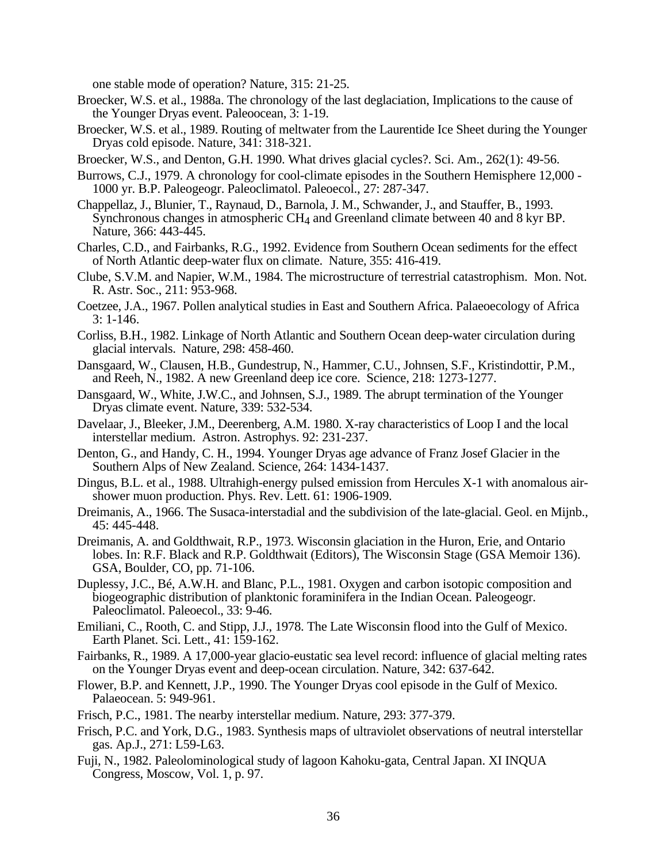one stable mode of operation? Nature, 315: 21-25.

- Broecker, W.S. et al., 1988a. The chronology of the last deglaciation, Implications to the cause of the Younger Dryas event. Paleoocean, 3: 1-19.
- Broecker, W.S. et al., 1989. Routing of meltwater from the Laurentide Ice Sheet during the Younger Dryas cold episode. Nature, 341: 318-321.
- Broecker, W.S., and Denton, G.H. 1990. What drives glacial cycles?. Sci. Am., 262(1): 49-56.
- Burrows, C.J., 1979. A chronology for cool-climate episodes in the Southern Hemisphere 12,000 1000 yr. B.P. Paleogeogr. Paleoclimatol. Paleoecol., 27: 287-347.
- Chappellaz, J., Blunier, T., Raynaud, D., Barnola, J. M., Schwander, J., and Stauffer, B., 1993. Synchronous changes in atmospheric CH4 and Greenland climate between 40 and 8 kyr BP. Nature, 366: 443-445.
- Charles, C.D., and Fairbanks, R.G., 1992. Evidence from Southern Ocean sediments for the effect of North Atlantic deep-water flux on climate. Nature, 355: 416-419.
- Clube, S.V.M. and Napier, W.M., 1984. The microstructure of terrestrial catastrophism. Mon. Not. R. Astr. Soc., 211: 953-968.
- Coetzee, J.A., 1967. Pollen analytical studies in East and Southern Africa. Palaeoecology of Africa 3: 1-146.
- Corliss, B.H., 1982. Linkage of North Atlantic and Southern Ocean deep-water circulation during glacial intervals. Nature, 298: 458-460.
- Dansgaard, W., Clausen, H.B., Gundestrup, N., Hammer, C.U., Johnsen, S.F., Kristindottir, P.M., and Reeh, N., 1982. A new Greenland deep ice core. Science, 218: 1273-1277.
- Dansgaard, W., White, J.W.C., and Johnsen, S.J., 1989. The abrupt termination of the Younger Dryas climate event. Nature, 339: 532-534.
- Davelaar, J., Bleeker, J.M., Deerenberg, A.M. 1980. X-ray characteristics of Loop I and the local interstellar medium. Astron. Astrophys. 92: 231-237.
- Denton, G., and Handy, C. H., 1994. Younger Dryas age advance of Franz Josef Glacier in the Southern Alps of New Zealand. Science, 264: 1434-1437.
- Dingus, B.L. et al., 1988. Ultrahigh-energy pulsed emission from Hercules X-1 with anomalous airshower muon production. Phys. Rev. Lett. 61: 1906-1909.
- Dreimanis, A., 1966. The Susaca-interstadial and the subdivision of the late-glacial. Geol. en Mijnb., 45: 445-448.
- Dreimanis, A. and Goldthwait, R.P., 1973. Wisconsin glaciation in the Huron, Erie, and Ontario lobes. In: R.F. Black and R.P. Goldthwait (Editors), The Wisconsin Stage (GSA Memoir 136). GSA, Boulder, CO, pp. 71-106.
- Duplessy, J.C., Bé, A.W.H. and Blanc, P.L., 1981. Oxygen and carbon isotopic composition and biogeographic distribution of planktonic foraminifera in the Indian Ocean. Paleogeogr. Paleoclimatol. Paleoecol., 33: 9-46.
- Emiliani, C., Rooth, C. and Stipp, J.J., 1978. The Late Wisconsin flood into the Gulf of Mexico. Earth Planet. Sci. Lett., 41: 159-162.
- Fairbanks, R., 1989. A 17,000-year glacio-eustatic sea level record: influence of glacial melting rates on the Younger Dryas event and deep-ocean circulation. Nature, 342: 637-642.
- Flower, B.P. and Kennett, J.P., 1990. The Younger Dryas cool episode in the Gulf of Mexico. Palaeocean. 5: 949-961.
- Frisch, P.C., 1981. The nearby interstellar medium. Nature, 293: 377-379.
- Frisch, P.C. and York, D.G., 1983. Synthesis maps of ultraviolet observations of neutral interstellar gas. Ap.J., 271: L59-L63.
- Fuji, N., 1982. Paleolominological study of lagoon Kahoku-gata, Central Japan. XI INQUA Congress, Moscow, Vol. 1, p. 97.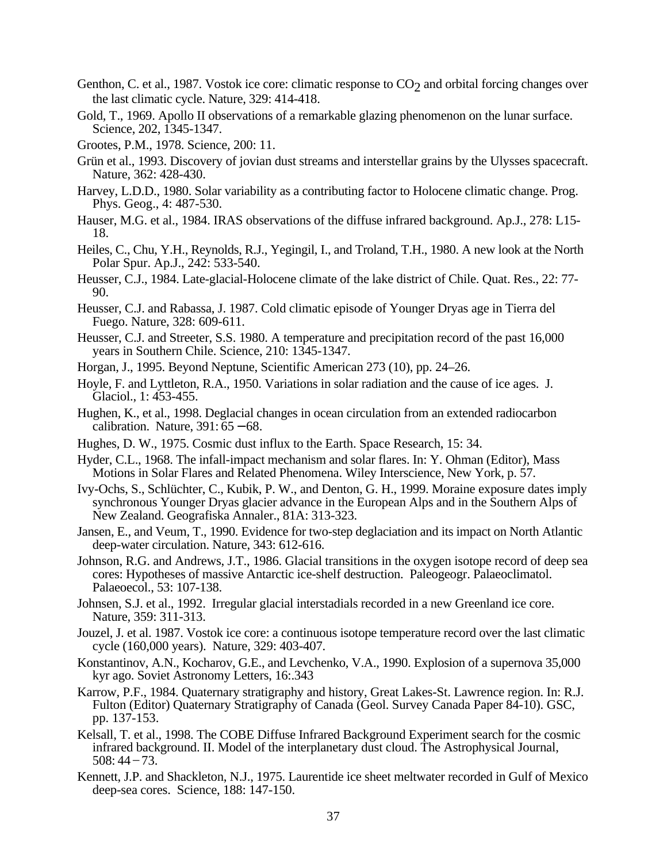- Genthon, C. et al., 1987. Vostok ice core: climatic response to CO<sub>2</sub> and orbital forcing changes over the last climatic cycle. Nature, 329: 414-418.
- Gold, T., 1969. Apollo II observations of a remarkable glazing phenomenon on the lunar surface. Science, 202, 1345-1347.
- Grootes, P.M., 1978. Science, 200: 11.
- Grün et al., 1993. Discovery of jovian dust streams and interstellar grains by the Ulysses spacecraft. Nature, 362: 428-430.
- Harvey, L.D.D., 1980. Solar variability as a contributing factor to Holocene climatic change. Prog. Phys. Geog., 4: 487-530.
- Hauser, M.G. et al., 1984. IRAS observations of the diffuse infrared background. Ap.J., 278: L15- 18.
- Heiles, C., Chu, Y.H., Reynolds, R.J., Yegingil, I., and Troland, T.H., 1980. A new look at the North Polar Spur. Ap.J., 242: 533-540.
- Heusser, C.J., 1984. Late-glacial-Holocene climate of the lake district of Chile. Quat. Res., 22: 77- 90.
- Heusser, C.J. and Rabassa, J. 1987. Cold climatic episode of Younger Dryas age in Tierra del Fuego. Nature, 328: 609-611.
- Heusser, C.J. and Streeter, S.S. 1980. A temperature and precipitation record of the past 16,000 years in Southern Chile. Science, 210: 1345-1347.
- Horgan, J., 1995. Beyond Neptune, Scientific American 273 (10), pp. 24–26.
- Hoyle, F. and Lyttleton, R.A., 1950. Variations in solar radiation and the cause of ice ages. J. Glaciol., 1: 453-455.
- Hughen, K., et al., 1998. Deglacial changes in ocean circulation from an extended radiocarbon calibration. Nature, 391: 65 − 68.
- Hughes, D. W., 1975. Cosmic dust influx to the Earth. Space Research, 15: 34.
- Hyder, C.L., 1968. The infall-impact mechanism and solar flares. In: Y. Ohman (Editor), Mass Motions in Solar Flares and Related Phenomena. Wiley Interscience, New York, p. 57.
- Ivy-Ochs, S., Schlüchter, C., Kubik, P. W., and Denton, G. H., 1999. Moraine exposure dates imply synchronous Younger Dryas glacier advance in the European Alps and in the Southern Alps of New Zealand. Geografiska Annaler., 81A: 313-323.
- Jansen, E., and Veum, T., 1990. Evidence for two-step deglaciation and its impact on North Atlantic deep-water circulation. Nature, 343: 612-616.
- Johnson, R.G. and Andrews, J.T., 1986. Glacial transitions in the oxygen isotope record of deep sea cores: Hypotheses of massive Antarctic ice-shelf destruction. Paleogeogr. Palaeoclimatol. Palaeoecol., 53: 107-138.
- Johnsen, S.J. et al., 1992. Irregular glacial interstadials recorded in a new Greenland ice core. Nature, 359: 311-313.
- Jouzel, J. et al. 1987. Vostok ice core: a continuous isotope temperature record over the last climatic cycle (160,000 years). Nature, 329: 403-407.
- Konstantinov, A.N., Kocharov, G.E., and Levchenko, V.A., 1990. Explosion of a supernova 35,000 kyr ago. Soviet Astronomy Letters, 16:.343
- Karrow, P.F., 1984. Quaternary stratigraphy and history, Great Lakes-St. Lawrence region. In: R.J. Fulton (Editor) Quaternary Stratigraphy of Canada (Geol. Survey Canada Paper 84-10). GSC, pp. 137-153.
- Kelsall, T. et al., 1998. The COBE Diffuse Infrared Background Experiment search for the cosmic infrared background. II. Model of the interplanetary dust cloud. The Astrophysical Journal,  $508:44 - 73.$
- Kennett, J.P. and Shackleton, N.J., 1975. Laurentide ice sheet meltwater recorded in Gulf of Mexico deep-sea cores. Science, 188: 147-150.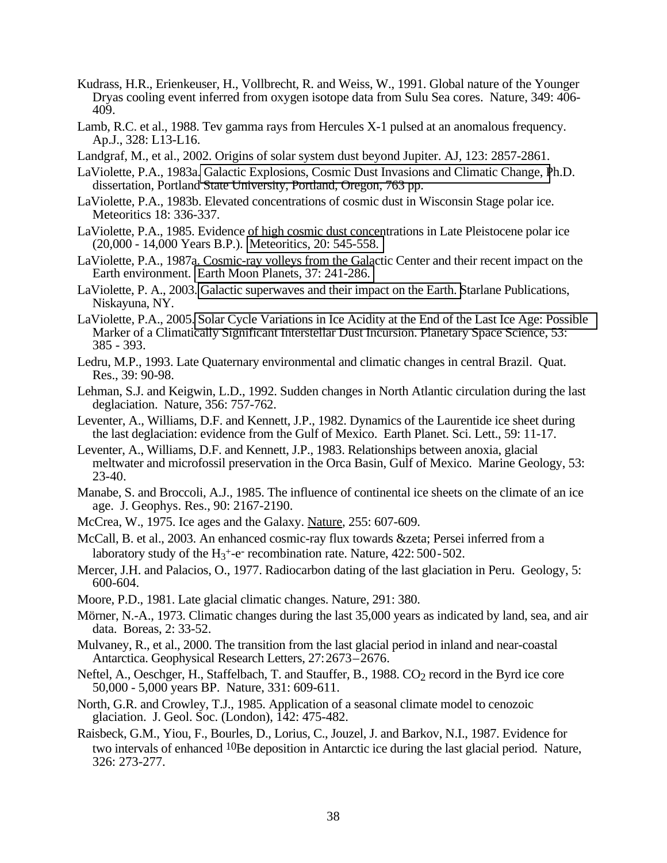- Kudrass, H.R., Erienkeuser, H., Vollbrecht, R. and Weiss, W., 1991. Global nature of the Younger Dryas cooling event inferred from oxygen isotope data from Sulu Sea cores. Nature, 349: 406- 409.
- Lamb, R.C. et al., 1988. Tev gamma rays from Hercules X-1 pulsed at an anomalous frequency. Ap.J., 328: L13-L16.
- Landgraf, M., et al., 2002. Origins of solar system dust beyond Jupiter. AJ, 123: 2857-2861.
- LaViolette, P.A., 1983a[. Galactic Explosions, Cosmic Dust Invasions and Climatic Change, P](http://adsabs.harvard.edu/cgi-bin/nph-bib_query?bibcode=1983PhDT.........9L&db_key=AST&high=40c54fe18503363)h.D. dissertation, Portland State University, Portland, Oregon, 763 pp.
- LaViolette, P.A., 1983b. Elevated concentrations of cosmic dust in Wisconsin Stage polar ice. Meteoritics 18: 336-337.
- LaViolette, P.A., 1985. Evidence of high cosmic dust concentrations in Late Pleistocene polar ice (20,000 - 14,000 Years B.P.). [Meteoritics, 20: 545-558.](http://adsabs.harvard.edu/cgi-bin/nph-bib_query?bibcode=1985Metic..20..545L&db_key=AST&high=40c54fe18503028)
- LaViolette, P.A., 1987a. Cosmic-ray volleys from the Galactic Center and their recent impact on the Earth environment. [Earth Moon Planets, 37: 241-286.](http://adsabs.harvard.edu/cgi-bin/nph-bib_query?bibcode=1987EM%26P...37..241L&db_key=AST&high=40c54fe18502618)
- LaViolette, P. A., 2003. [Galactic superwaves and their impact on the Earth. S](http://home.earthlink.net/~gravitics/LaVioletteBooks/EUF-CD.html)tarlane Publications, Niskayuna, NY.
- LaViolette, P.A., 2005. [Solar Cycle Variations in Ice Acidity at the End of the Last Ice Age: Possible](http://arXiv.org/physics/0502019) Marker of a Climatically Significant Interstellar Dust Incursion. Planetary Space Science, 53: 385 - 393.
- Ledru, M.P., 1993. Late Quaternary environmental and climatic changes in central Brazil. Quat. Res., 39: 90-98.
- Lehman, S.J. and Keigwin, L.D., 1992. Sudden changes in North Atlantic circulation during the last deglaciation. Nature, 356: 757-762.
- Leventer, A., Williams, D.F. and Kennett, J.P., 1982. Dynamics of the Laurentide ice sheet during the last deglaciation: evidence from the Gulf of Mexico. Earth Planet. Sci. Lett., 59: 11-17.
- Leventer, A., Williams, D.F. and Kennett, J.P., 1983. Relationships between anoxia, glacial meltwater and microfossil preservation in the Orca Basin, Gulf of Mexico. Marine Geology, 53: 23-40.
- Manabe, S. and Broccoli, A.J., 1985. The influence of continental ice sheets on the climate of an ice age. J. Geophys. Res., 90: 2167-2190.
- McCrea, W., 1975. Ice ages and the Galaxy. Nature, 255: 607-609.
- McCall, B. et al., 2003. An enhanced cosmic-ray flux towards ζ Persei inferred from a laboratory study of the  $H_3$ <sup>+</sup>-e<sup>-</sup> recombination rate. Nature, 422: 500-502.
- Mercer, J.H. and Palacios, O., 1977. Radiocarbon dating of the last glaciation in Peru. Geology, 5: 600-604.
- Moore, P.D., 1981. Late glacial climatic changes. Nature, 291: 380.
- Mörner, N.-A., 1973. Climatic changes during the last 35,000 years as indicated by land, sea, and air data. Boreas, 2: 33-52.
- Mulvaney, R., et al., 2000. The transition from the last glacial period in inland and near-coastal Antarctica. Geophysical Research Letters, 27:2673–2676.
- Neftel, A., Oeschger, H., Staffelbach, T. and Stauffer, B., 1988. CO<sub>2</sub> record in the Byrd ice core 50,000 - 5,000 years BP. Nature, 331: 609-611.
- North, G.R. and Crowley, T.J., 1985. Application of a seasonal climate model to cenozoic glaciation. J. Geol. Soc. (London), 142: 475-482.
- Raisbeck, G.M., Yiou, F., Bourles, D., Lorius, C., Jouzel, J. and Barkov, N.I., 1987. Evidence for two intervals of enhanced <sup>10</sup>Be deposition in Antarctic ice during the last glacial period. Nature, 326: 273-277.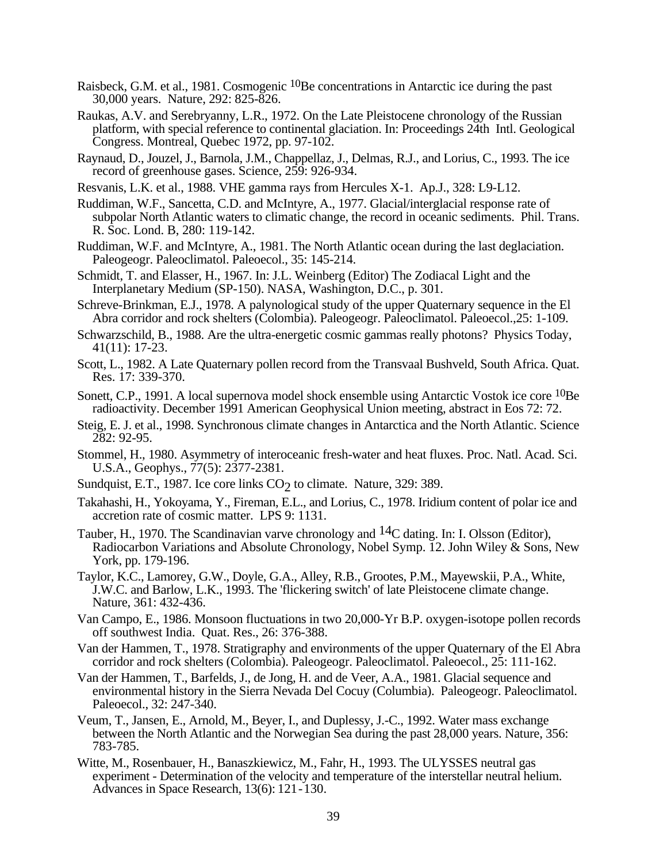- Raisbeck, G.M. et al., 1981. Cosmogenic <sup>10</sup>Be concentrations in Antarctic ice during the past 30,000 years. Nature, 292: 825-826.
- Raukas, A.V. and Serebryanny, L.R., 1972. On the Late Pleistocene chronology of the Russian platform, with special reference to continental glaciation. In: Proceedings 24th Intl. Geological Congress. Montreal, Quebec 1972, pp. 97-102.
- Raynaud, D., Jouzel, J., Barnola, J.M., Chappellaz, J., Delmas, R.J., and Lorius, C., 1993. The ice record of greenhouse gases. Science, 259: 926-934.
- Resvanis, L.K. et al., 1988. VHE gamma rays from Hercules X-1. Ap.J., 328: L9-L12.
- Ruddiman, W.F., Sancetta, C.D. and McIntyre, A., 1977. Glacial/interglacial response rate of subpolar North Atlantic waters to climatic change, the record in oceanic sediments. Phil. Trans. R. Soc. Lond. B, 280: 119-142.
- Ruddiman, W.F. and McIntyre, A., 1981. The North Atlantic ocean during the last deglaciation. Paleogeogr. Paleoclimatol. Paleoecol., 35: 145-214.
- Schmidt, T. and Elasser, H., 1967. In: J.L. Weinberg (Editor) The Zodiacal Light and the Interplanetary Medium (SP-150). NASA, Washington, D.C., p. 301.
- Schreve-Brinkman, E.J., 1978. A palynological study of the upper Quaternary sequence in the El Abra corridor and rock shelters (Colombia). Paleogeogr. Paleoclimatol. Paleoecol., 25: 1-109.
- Schwarzschild, B., 1988. Are the ultra-energetic cosmic gammas really photons? Physics Today, 41(11): 17-23.
- Scott, L., 1982. A Late Quaternary pollen record from the Transvaal Bushveld, South Africa. Quat. Res. 17: 339-370.
- Sonett, C.P., 1991. A local supernova model shock ensemble using Antarctic Vostok ice core 10Be radioactivity. December 1991 American Geophysical Union meeting, abstract in Eos 72: 72.
- Steig, E. J. et al., 1998. Synchronous climate changes in Antarctica and the North Atlantic. Science 282: 92-95.
- Stommel, H., 1980. Asymmetry of interoceanic fresh-water and heat fluxes. Proc. Natl. Acad. Sci. U.S.A., Geophys., 77(5): 2377-2381.
- Sundquist, E.T., 1987. Ice core links CO<sub>2</sub> to climate. Nature, 329: 389.
- Takahashi, H., Yokoyama, Y., Fireman, E.L., and Lorius, C., 1978. Iridium content of polar ice and accretion rate of cosmic matter. LPS 9: 1131.
- Tauber, H., 1970. The Scandinavian varve chronology and  $^{14}C$  dating. In: I. Olsson (Editor), Radiocarbon Variations and Absolute Chronology, Nobel Symp. 12. John Wiley & Sons, New York, pp. 179-196.
- Taylor, K.C., Lamorey, G.W., Doyle, G.A., Alley, R.B., Grootes, P.M., Mayewskii, P.A., White, J.W.C. and Barlow, L.K., 1993. The 'flickering switch' of late Pleistocene climate change. Nature, 361: 432-436.
- Van Campo, E., 1986. Monsoon fluctuations in two 20,000-Yr B.P. oxygen-isotope pollen records off southwest India. Quat. Res., 26: 376-388.
- Van der Hammen, T., 1978. Stratigraphy and environments of the upper Quaternary of the El Abra corridor and rock shelters (Colombia). Paleogeogr. Paleoclimatol. Paleoecol., 25: 111-162.
- Van der Hammen, T., Barfelds, J., de Jong, H. and de Veer, A.A., 1981. Glacial sequence and environmental history in the Sierra Nevada Del Cocuy (Columbia). Paleogeogr. Paleoclimatol. Paleoecol., 32: 247-340.
- Veum, T., Jansen, E., Arnold, M., Beyer, I., and Duplessy, J.-C., 1992. Water mass exchange between the North Atlantic and the Norwegian Sea during the past 28,000 years. Nature, 356: 783-785.
- Witte, M., Rosenbauer, H., Banaszkiewicz, M., Fahr, H., 1993. The ULYSSES neutral gas experiment - Determination of the velocity and temperature of the interstellar neutral helium. Advances in Space Research, 13(6): 121-130.